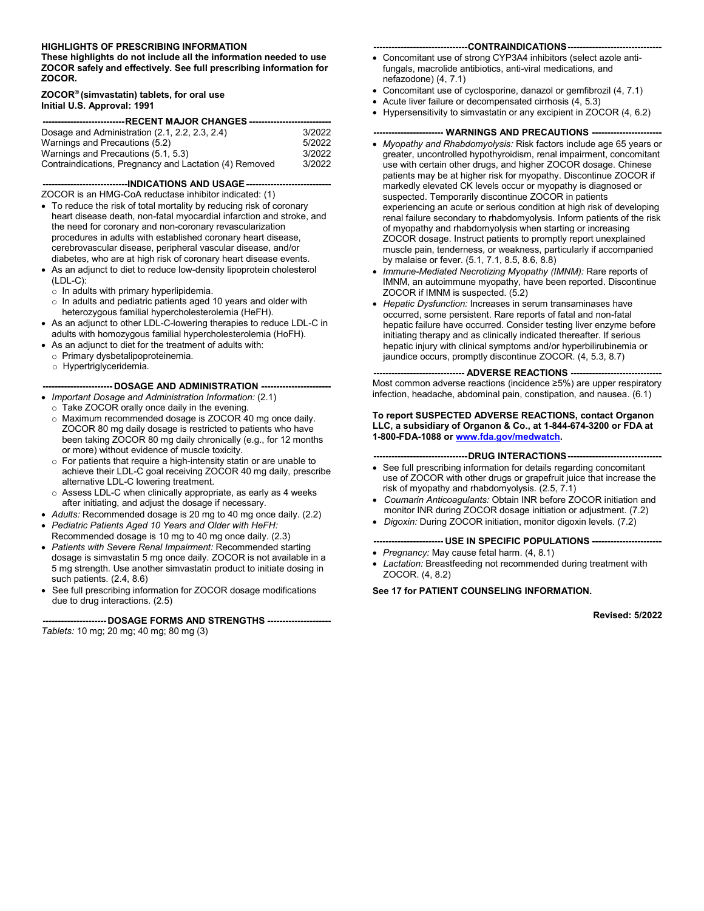#### **HIGHLIGHTS OF PRESCRIBING INFORMATION**

**These highlights do not include all the information needed to use ZOCOR safely and effectively. See full prescribing information for ZOCOR.** 

#### **ZOCOR® (simvastatin) tablets, for oral use Initial U.S. Approval: 1991**

| ---------------------------RECENT MAJOR CHANGES ------------------------------- |        |  |  |
|---------------------------------------------------------------------------------|--------|--|--|
| Dosage and Administration (2.1, 2.2, 2.3, 2.4)                                  | 3/2022 |  |  |
| Warnings and Precautions (5.2)                                                  | 5/2022 |  |  |
| Warnings and Precautions (5.1, 5.3)<br>3/2022                                   |        |  |  |
| Contraindications, Pregnancy and Lactation (4) Removed<br>3/2022                |        |  |  |

**----------------------------INDICATIONS AND USAGE----------------------------** ZOCOR is an HMG-CoA reductase inhibitor indicated: (1)

- To reduce the risk of total mortality by reducing risk of coronary heart disease death, non-fatal myocardial infarction and stroke, and the need for coronary and non-coronary revascularization procedures in adults with established coronary heart disease, cerebrovascular disease, peripheral vascular disease, and/or diabetes, who are at high risk of coronary heart disease events.
- As an adjunct to diet to reduce low-density lipoprotein cholesterol (LDL-C):
	- o In adults with primary hyperlipidemia.
	- o In adults and pediatric patients aged 10 years and older with heterozygous familial hypercholesterolemia (HeFH).
- As an adjunct to other LDL-C-lowering therapies to reduce LDL-C in adults with homozygous familial hypercholesterolemia (HoFH).
- As an adjunct to diet for the treatment of adults with:
	- o Primary dysbetalipoproteinemia.
	- o Hypertriglyceridemia.

### **----------------------- DOSAGE AND ADMINISTRATION -----------------------**

- *Important Dosage and Administration Information:* (2.1)
	- o Take ZOCOR orally once daily in the evening. o Maximum recommended dosage is ZOCOR 40 mg once daily. ZOCOR 80 mg daily dosage is restricted to patients who have been taking ZOCOR 80 mg daily chronically (e.g., for 12 months or more) without evidence of muscle toxicity.
	- For patients that require a high-intensity statin or are unable to achieve their LDL-C goal receiving ZOCOR 40 mg daily, prescribe alternative LDL-C lowering treatment.
	- o Assess LDL-C when clinically appropriate, as early as 4 weeks after initiating, and adjust the dosage if necessary.
- *Adults:* Recommended dosage is 20 mg to 40 mg once daily. (2.2)
- *Pediatric Patients Aged 10 Years and Older with HeFH:* Recommended dosage is 10 mg to 40 mg once daily. (2.3)
- *Patients with Severe Renal Impairment:* Recommended starting dosage is simvastatin 5 mg once daily. ZOCOR is not available in a 5 mg strength. Use another simvastatin product to initiate dosing in such patients. (2.4, 8.6)
- See full prescribing information for ZOCOR dosage modifications due to drug interactions. (2.5)

| --------------------- DOSAGE FORMS AND STRENGTHS --------------------- |
|------------------------------------------------------------------------|
| Tablets: 10 mg; 20 mg; 40 mg; 80 mg (3)                                |

#### **-------------------------------CONTRAINDICATIONS-------------------------------**

- Concomitant use of strong CYP3A4 inhibitors (select azole antifungals, macrolide antibiotics, anti-viral medications, and nefazodone) (4, 7.1)
- Concomitant use of cyclosporine, danazol or gemfibrozil (4, 7.1)
- Acute liver failure or decompensated cirrhosis (4, 5.3)
- Hypersensitivity to simvastatin or any excipient in ZOCOR (4, 6.2)

### **----------------------- WARNINGS AND PRECAUTIONS -----------------------**

- *Myopathy and Rhabdomyolysis:* Risk factors include age 65 years or greater, uncontrolled hypothyroidism, renal impairment, concomitant use with certain other drugs, and higher ZOCOR dosage. Chinese patients may be at higher risk for myopathy. Discontinue ZOCOR if markedly elevated CK levels occur or myopathy is diagnosed or suspected. Temporarily discontinue ZOCOR in patients experiencing an acute or serious condition at high risk of developing renal failure secondary to rhabdomyolysis. Inform patients of the risk of myopathy and rhabdomyolysis when starting or increasing ZOCOR dosage. Instruct patients to promptly report unexplained muscle pain, tenderness, or weakness, particularly if accompanied by malaise or fever. (5.1, 7.1, 8.5, 8.6, 8.8)
- *Immune-Mediated Necrotizing Myopathy (IMNM):* Rare reports of IMNM, an autoimmune myopathy, have been reported. Discontinue ZOCOR if IMNM is suspected. (5.2)
- *Hepatic Dysfunction:* Increases in serum transaminases have occurred, some persistent. Rare reports of fatal and non-fatal hepatic failure have occurred. Consider testing liver enzyme before initiating therapy and as clinically indicated thereafter. If serious hepatic injury with clinical symptoms and/or hyperbilirubinemia or jaundice occurs, promptly discontinue ZOCOR. (4, 5.3, 8.7)

**------------------------------ ADVERSE REACTIONS ------------------------------** Most common adverse reactions (incidence ≥5%) are upper respiratory infection, headache, abdominal pain, constipation, and nausea. (6.1)

#### **To report SUSPECTED ADVERSE REACTIONS, contact Organon LLC, a subsidiary of Organon & Co., at 1-844-674-3200 or FDA at 1-800-FDA-1088 or [www.fda.gov/medwatch](http://www.fda.gov/medwatch).**

#### ---DRUG INTERACTIONS--

- See full prescribing information for details regarding concomitant use of ZOCOR with other drugs or grapefruit juice that increase the risk of myopathy and rhabdomyolysis. (2.5, 7.1)
- *Coumarin Anticoagulants:* Obtain INR before ZOCOR initiation and monitor INR during ZOCOR dosage initiation or adjustment. (7.2)
- *Digoxin:* During ZOCOR initiation, monitor digoxin levels. (7.2)

#### **----------------------- USE IN SPECIFIC POPULATIONS -----------------------**

- *Pregnancy:* May cause fetal harm. (4, 8.1)
- *Lactation:* Breastfeeding not recommended during treatment with ZOCOR. (4, 8.2)

**See 17 for PATIENT COUNSELING INFORMATION.**

**Revised: 5/2022**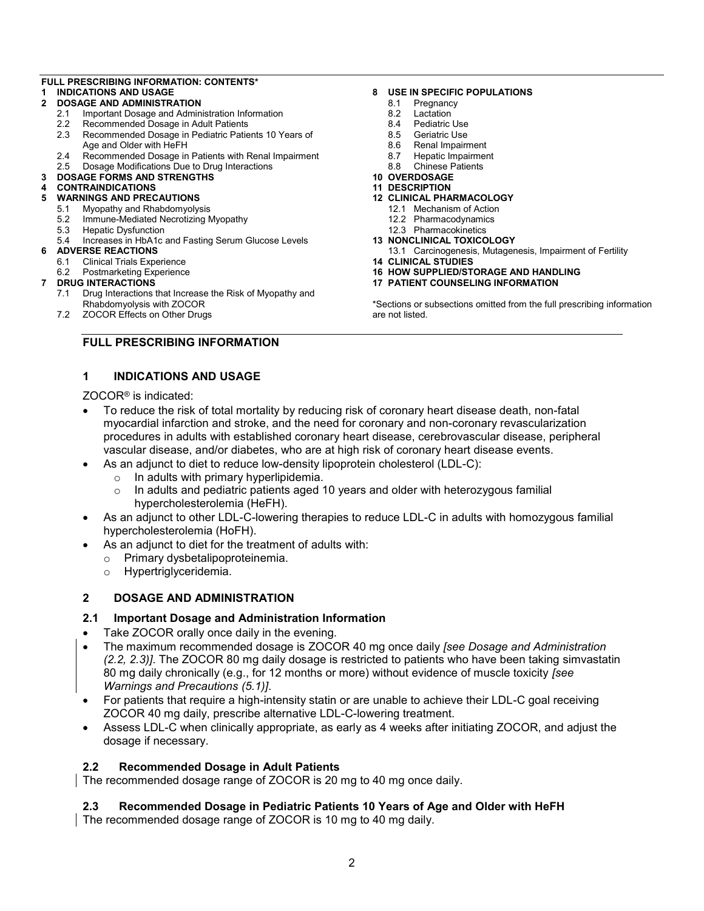### **FULL PRESCRIBING INFORMATION: CONTENTS\***

# **1 INDICATIONS AND USAGE**

- **2 DOSAGE AND ADMINISTRATION**
	- 2.1 Important Dosage and Administration Information
	- 2.2 Recommended Dosage in Adult Patients
	- 2.3 Recommended Dosage in Pediatric Patients 10 Years of Age and Older with HeFH
	- 2.4 Recommended Dosage in Patients with Renal Impairment
	- 2.5 Dosage Modifications Due to Drug Interactions

# **3 DOSAGE FORMS AND STRENGTHS**

# **4 CONTRAINDICATIONS**

- **5 WARNINGS AND PRECAUTIONS**
	- 5.1 Myopathy and Rhabdomyolysis
	- 5.2 Immune-Mediated Necrotizing Myopathy
	- 5.3 Hepatic Dysfunction
	- 5.4 Increases in HbA1c and Fasting Serum Glucose Levels
- **6 ADVERSE REACTIONS**
	- 6.1 Clinical Trials Experience
	- 6.2 Postmarketing Experience

#### **7 DRUG INTERACTIONS**

- 7.1 Drug Interactions that Increase the Risk of Myopathy and Rhabdomyolysis with ZOCOR
- 7.2 ZOCOR Effects on Other Drugs

#### **8 USE IN SPECIFIC POPULATIONS**

- 8.1 Pregnancy
- 8.2 Lactation
- 8.4 Pediatric Use
- 8.5 Geriatric Use<br>8.6 Renal Impairr
- Renal Impairment
- 8.7 Hepatic Impairment
- 8.8 Chinese Patients
- **10 OVERDOSAGE**
- **11 DESCRIPTION**
- **12 CLINICAL PHARMACOLOGY**
	- 12.1 Mechanism of Action
	- 12.2 Pharmacodynamics
	- 12.3 Pharmacokinetics
- **13 NONCLINICAL TOXICOLOGY**
- 13.1 Carcinogenesis, Mutagenesis, Impairment of Fertility **14 CLINICAL STUDIES**
- **16 HOW SUPPLIED/STORAGE AND HANDLING**
- **17 PATIENT COUNSELING INFORMATION**

\*Sections or subsections omitted from the full prescribing information are not listed.

# **FULL PRESCRIBING INFORMATION**

# **1 INDICATIONS AND USAGE**

ZOCOR® is indicated:

- To reduce the risk of total mortality by reducing risk of coronary heart disease death, non-fatal myocardial infarction and stroke, and the need for coronary and non-coronary revascularization procedures in adults with established coronary heart disease, cerebrovascular disease, peripheral vascular disease, and/or diabetes, who are at high risk of coronary heart disease events.
- As an adjunct to diet to reduce low-density lipoprotein cholesterol (LDL-C):
	- o In adults with primary hyperlipidemia.
	- $\circ$  In adults and pediatric patients aged 10 years and older with heterozygous familial hypercholesterolemia (HeFH).
- As an adjunct to other LDL-C-lowering therapies to reduce LDL-C in adults with homozygous familial hypercholesterolemia (HoFH).
- As an adjunct to diet for the treatment of adults with:
	- o Primary dysbetalipoproteinemia.
	- o Hypertriglyceridemia.

# **2 DOSAGE AND ADMINISTRATION**

# **2.1 Important Dosage and Administration Information**

- Take ZOCOR orally once daily in the evening.
- The maximum recommended dosage is ZOCOR 40 mg once daily *[see Dosage and Administration (2.2, 2.3)]*. The ZOCOR 80 mg daily dosage is restricted to patients who have been taking simvastatin 80 mg daily chronically (e.g., for 12 months or more) without evidence of muscle toxicity *[see Warnings and Precautions (5.1)]*.
- For patients that require a high-intensity statin or are unable to achieve their LDL-C goal receiving ZOCOR 40 mg daily, prescribe alternative LDL-C-lowering treatment.
- Assess LDL-C when clinically appropriate, as early as 4 weeks after initiating ZOCOR, and adjust the dosage if necessary.

# **2.2 Recommended Dosage in Adult Patients**

The recommended dosage range of ZOCOR is 20 mg to 40 mg once daily.

# **2.3 Recommended Dosage in Pediatric Patients 10 Years of Age and Older with HeFH**

The recommended dosage range of ZOCOR is 10 mg to 40 mg daily.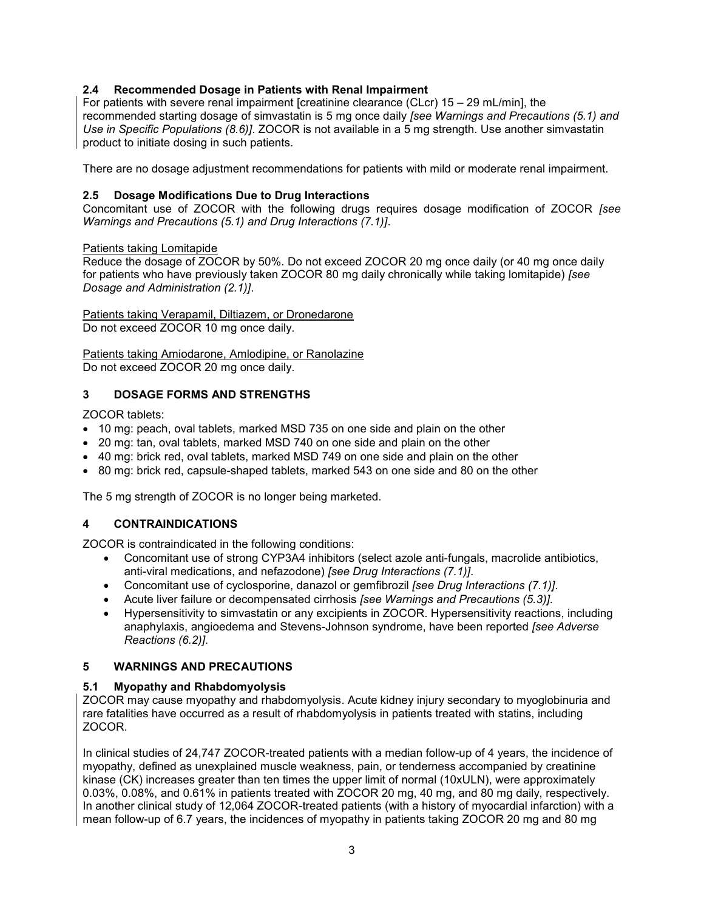# **2.4 Recommended Dosage in Patients with Renal Impairment**

For patients with severe renal impairment Icreatinine clearance (CLcr) 15 – 29 mL/minl, the recommended starting dosage of simvastatin is 5 mg once daily *[see Warnings and Precautions (5.1) and Use in Specific Populations (8.6)]*. ZOCOR is not available in a 5 mg strength. Use another simvastatin product to initiate dosing in such patients.

There are no dosage adjustment recommendations for patients with mild or moderate renal impairment.

# **2.5 Dosage Modifications Due to Drug Interactions**

Concomitant use of ZOCOR with the following drugs requires dosage modification of ZOCOR *[see Warnings and Precautions (5.1) and Drug Interactions (7.1)]*.

# Patients taking Lomitapide

Reduce the dosage of ZOCOR by 50%. Do not exceed ZOCOR 20 mg once daily (or 40 mg once daily for patients who have previously taken ZOCOR 80 mg daily chronically while taking lomitapide) *[see Dosage and Administration (2.1)]*.

Patients taking Verapamil, Diltiazem, or Dronedarone Do not exceed ZOCOR 10 mg once daily.

Patients taking Amiodarone, Amlodipine, or Ranolazine Do not exceed ZOCOR 20 mg once daily.

# **3 DOSAGE FORMS AND STRENGTHS**

ZOCOR tablets:

- 10 mg: peach, oval tablets, marked MSD 735 on one side and plain on the other
- 20 mg: tan, oval tablets, marked MSD 740 on one side and plain on the other
- 40 mg: brick red, oval tablets, marked MSD 749 on one side and plain on the other
- 80 mg: brick red, capsule-shaped tablets, marked 543 on one side and 80 on the other

The 5 mg strength of ZOCOR is no longer being marketed.

# **4 CONTRAINDICATIONS**

ZOCOR is contraindicated in the following conditions:

- Concomitant use of strong CYP3A4 inhibitors (select azole anti-fungals, macrolide antibiotics, anti-viral medications, and nefazodone) *[see Drug Interactions (7.1)]*.
- Concomitant use of cyclosporine, danazol or gemfibrozil *[see Drug Interactions (7.1)]*.
- Acute liver failure or decompensated cirrhosis *[see Warnings and Precautions (5.3)]*.
- Hypersensitivity to simvastatin or any excipients in ZOCOR. Hypersensitivity reactions, including anaphylaxis, angioedema and Stevens-Johnson syndrome, have been reported *[see Adverse Reactions (6.2)]*.

# **5 WARNINGS AND PRECAUTIONS**

# **5.1 Myopathy and Rhabdomyolysis**

ZOCOR may cause myopathy and rhabdomyolysis. Acute kidney injury secondary to myoglobinuria and rare fatalities have occurred as a result of rhabdomyolysis in patients treated with statins, including ZOCOR.

In clinical studies of 24,747 ZOCOR-treated patients with a median follow-up of 4 years, the incidence of myopathy, defined as unexplained muscle weakness, pain, or tenderness accompanied by creatinine kinase (CK) increases greater than ten times the upper limit of normal (10xULN), were approximately 0.03%, 0.08%, and 0.61% in patients treated with ZOCOR 20 mg, 40 mg, and 80 mg daily, respectively. In another clinical study of 12,064 ZOCOR-treated patients (with a history of myocardial infarction) with a mean follow-up of 6.7 years, the incidences of myopathy in patients taking ZOCOR 20 mg and 80 mg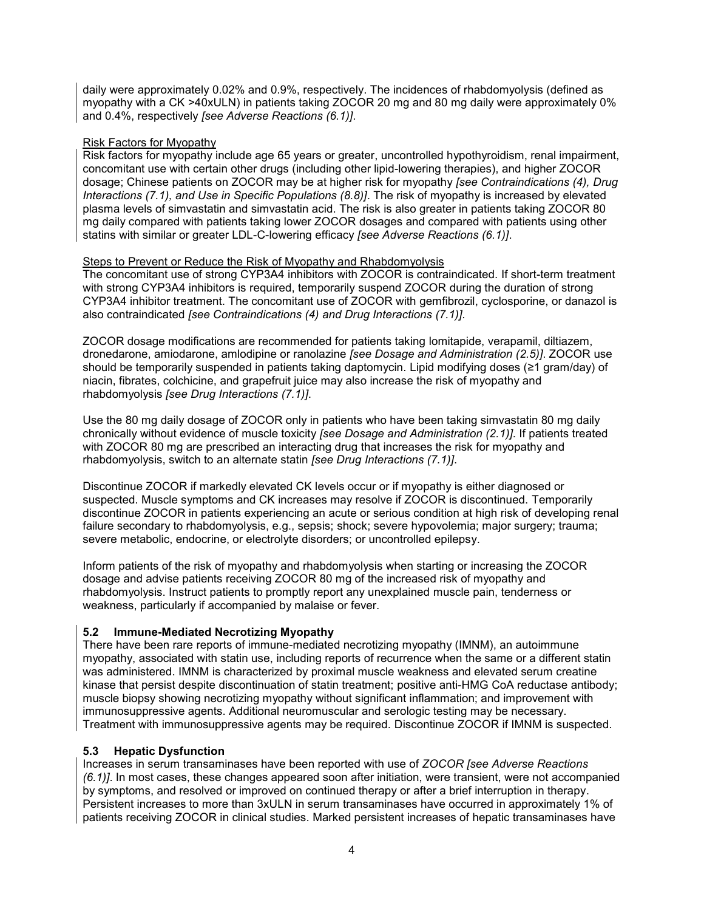daily were approximately 0.02% and 0.9%, respectively. The incidences of rhabdomyolysis (defined as myopathy with a CK >40xULN) in patients taking ZOCOR 20 mg and 80 mg daily were approximately 0% and 0.4%, respectively *[see Adverse Reactions (6.1)]*.

# Risk Factors for Myopathy

Risk factors for myopathy include age 65 years or greater, uncontrolled hypothyroidism, renal impairment, concomitant use with certain other drugs (including other lipid-lowering therapies), and higher ZOCOR dosage; Chinese patients on ZOCOR may be at higher risk for myopathy *[see Contraindications (4), Drug Interactions (7.1), and Use in Specific Populations (8.8)]*. The risk of myopathy is increased by elevated plasma levels of simvastatin and simvastatin acid. The risk is also greater in patients taking ZOCOR 80 mg daily compared with patients taking lower ZOCOR dosages and compared with patients using other statins with similar or greater LDL-C-lowering efficacy *[see Adverse Reactions (6.1)]*.

# Steps to Prevent or Reduce the Risk of Myopathy and Rhabdomyolysis

The concomitant use of strong CYP3A4 inhibitors with ZOCOR is contraindicated. If short-term treatment with strong CYP3A4 inhibitors is required, temporarily suspend ZOCOR during the duration of strong CYP3A4 inhibitor treatment. The concomitant use of ZOCOR with gemfibrozil, cyclosporine, or danazol is also contraindicated *[see Contraindications (4) and Drug Interactions (7.1)]*.

ZOCOR dosage modifications are recommended for patients taking lomitapide, verapamil, diltiazem, dronedarone, amiodarone, amlodipine or ranolazine *[see Dosage and Administration (2.5)]*. ZOCOR use should be temporarily suspended in patients taking daptomycin. Lipid modifying doses (≥1 gram/day) of niacin, fibrates, colchicine, and grapefruit juice may also increase the risk of myopathy and rhabdomyolysis *[see Drug Interactions (7.1)]*.

Use the 80 mg daily dosage of ZOCOR only in patients who have been taking simvastatin 80 mg daily chronically without evidence of muscle toxicity *[see Dosage and Administration (2.1)]*. If patients treated with ZOCOR 80 mg are prescribed an interacting drug that increases the risk for myopathy and rhabdomyolysis, switch to an alternate statin *[see Drug Interactions (7.1)]*.

Discontinue ZOCOR if markedly elevated CK levels occur or if myopathy is either diagnosed or suspected. Muscle symptoms and CK increases may resolve if ZOCOR is discontinued. Temporarily discontinue ZOCOR in patients experiencing an acute or serious condition at high risk of developing renal failure secondary to rhabdomyolysis, e.g., sepsis; shock; severe hypovolemia; major surgery; trauma; severe metabolic, endocrine, or electrolyte disorders; or uncontrolled epilepsy.

Inform patients of the risk of myopathy and rhabdomyolysis when starting or increasing the ZOCOR dosage and advise patients receiving ZOCOR 80 mg of the increased risk of myopathy and rhabdomyolysis. Instruct patients to promptly report any unexplained muscle pain, tenderness or weakness, particularly if accompanied by malaise or fever.

# **5.2 Immune-Mediated Necrotizing Myopathy**

There have been rare reports of immune-mediated necrotizing myopathy (IMNM), an autoimmune myopathy, associated with statin use, including reports of recurrence when the same or a different statin was administered. IMNM is characterized by proximal muscle weakness and elevated serum creatine kinase that persist despite discontinuation of statin treatment; positive anti-HMG CoA reductase antibody; muscle biopsy showing necrotizing myopathy without significant inflammation; and improvement with immunosuppressive agents. Additional neuromuscular and serologic testing may be necessary. Treatment with immunosuppressive agents may be required. Discontinue ZOCOR if IMNM is suspected.

# **5.3 Hepatic Dysfunction**

Increases in serum transaminases have been reported with use of *ZOCOR [see Adverse Reactions (6.1)]*. In most cases, these changes appeared soon after initiation, were transient, were not accompanied by symptoms, and resolved or improved on continued therapy or after a brief interruption in therapy. Persistent increases to more than 3xULN in serum transaminases have occurred in approximately 1% of patients receiving ZOCOR in clinical studies. Marked persistent increases of hepatic transaminases have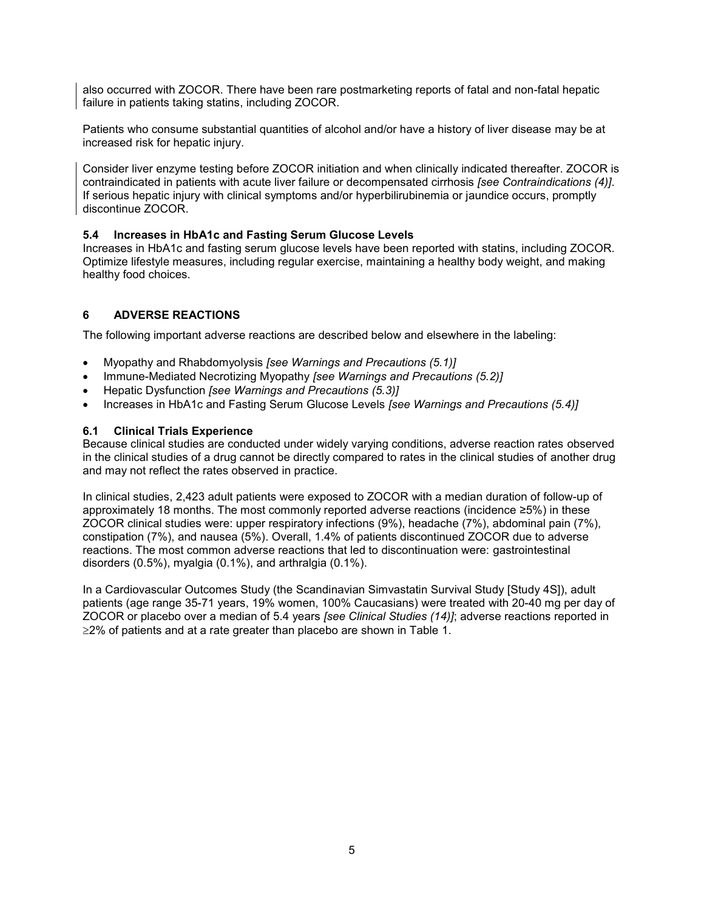also occurred with ZOCOR. There have been rare postmarketing reports of fatal and non-fatal hepatic failure in patients taking statins, including ZOCOR.

Patients who consume substantial quantities of alcohol and/or have a history of liver disease may be at increased risk for hepatic injury.

Consider liver enzyme testing before ZOCOR initiation and when clinically indicated thereafter. ZOCOR is contraindicated in patients with acute liver failure or decompensated cirrhosis *[see Contraindications (4)]*. If serious hepatic injury with clinical symptoms and/or hyperbilirubinemia or jaundice occurs, promptly discontinue ZOCOR.

# **5.4 Increases in HbA1c and Fasting Serum Glucose Levels**

Increases in HbA1c and fasting serum glucose levels have been reported with statins, including ZOCOR. Optimize lifestyle measures, including regular exercise, maintaining a healthy body weight, and making healthy food choices.

# **6 ADVERSE REACTIONS**

The following important adverse reactions are described below and elsewhere in the labeling:

- Myopathy and Rhabdomyolysis *[see Warnings and Precautions (5.1)]*
- Immune-Mediated Necrotizing Myopathy *[see Warnings and Precautions (5.2)]*
- Hepatic Dysfunction *[see Warnings and Precautions (5.3)]*
- Increases in HbA1c and Fasting Serum Glucose Levels *[see Warnings and Precautions (5.4)]*

# **6.1 Clinical Trials Experience**

Because clinical studies are conducted under widely varying conditions, adverse reaction rates observed in the clinical studies of a drug cannot be directly compared to rates in the clinical studies of another drug and may not reflect the rates observed in practice.

In clinical studies, 2,423 adult patients were exposed to ZOCOR with a median duration of follow-up of approximately 18 months. The most commonly reported adverse reactions (incidence ≥5%) in these ZOCOR clinical studies were: upper respiratory infections (9%), headache (7%), abdominal pain (7%), constipation (7%), and nausea (5%). Overall, 1.4% of patients discontinued ZOCOR due to adverse reactions. The most common adverse reactions that led to discontinuation were: gastrointestinal disorders (0.5%), myalgia (0.1%), and arthralgia (0.1%).

In a Cardiovascular Outcomes Study (the Scandinavian Simvastatin Survival Study [Study 4S]), adult patients (age range 35-71 years, 19% women, 100% Caucasians) were treated with 20-40 mg per day of ZOCOR or placebo over a median of 5.4 years *[see Clinical Studies (14)]*; adverse reactions reported in  $\geq$ 2% of patients and at a rate greater than placebo are shown in Table 1.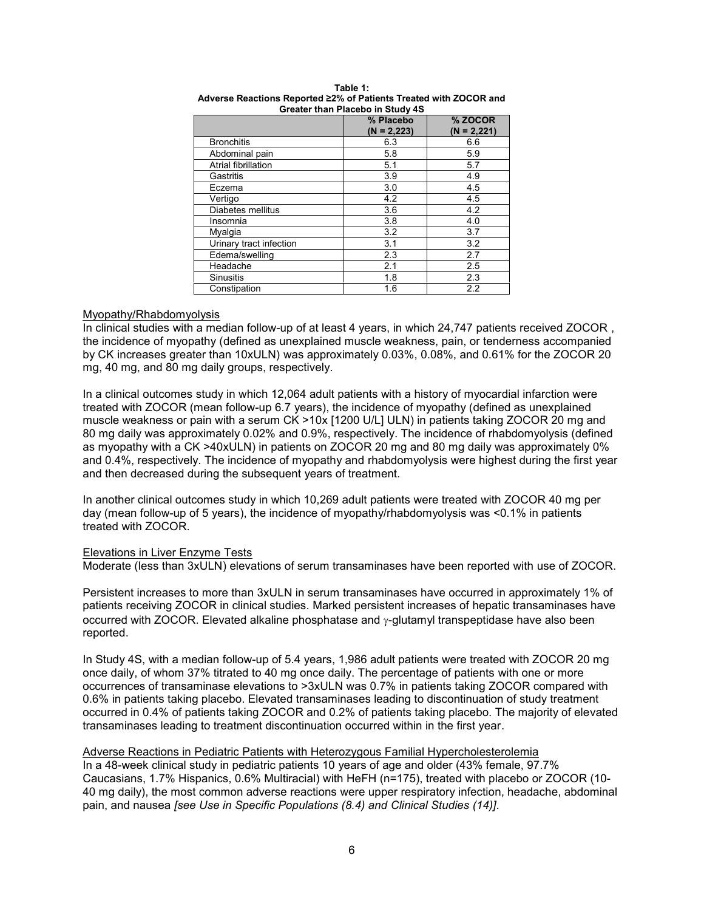|                         | % Placebo<br>$(N = 2,223)$ | % ZOCOR<br>$(N = 2,221)$ |
|-------------------------|----------------------------|--------------------------|
| <b>Bronchitis</b>       | 6.3                        | 6.6                      |
| Abdominal pain          | 5.8                        | 5.9                      |
| Atrial fibrillation     | 5.1                        | 5.7                      |
| Gastritis               | 3.9                        | 4.9                      |
| Eczema                  | 3.0                        | 4.5                      |
| Vertigo                 | 4.2                        | 4.5                      |
| Diabetes mellitus       | 3.6                        | 4.2                      |
| Insomnia                | 3.8                        | 4.0                      |
| Myalgia                 | 3.2                        | 3.7                      |
| Urinary tract infection | 3.1                        | 3.2                      |
| Edema/swelling          | 2.3                        | 2.7                      |
| Headache                | 2.1                        | 2.5                      |
| <b>Sinusitis</b>        | 1.8                        | 2.3                      |
| Constipation            | 1.6                        | 2.2                      |

#### **Table 1: Adverse Reactions Reported ≥2% of Patients Treated with ZOCOR and Greater than Placebo in Study 4S**

### Myopathy/Rhabdomyolysis

In clinical studies with a median follow-up of at least 4 years, in which 24,747 patients received ZOCOR, the incidence of myopathy (defined as unexplained muscle weakness, pain, or tenderness accompanied by CK increases greater than 10xULN) was approximately 0.03%, 0.08%, and 0.61% for the ZOCOR 20 mg, 40 mg, and 80 mg daily groups, respectively.

In a clinical outcomes study in which 12,064 adult patients with a history of myocardial infarction were treated with ZOCOR (mean follow-up 6.7 years), the incidence of myopathy (defined as unexplained muscle weakness or pain with a serum CK >10x [1200 U/L] ULN) in patients taking ZOCOR 20 mg and 80 mg daily was approximately 0.02% and 0.9%, respectively. The incidence of rhabdomyolysis (defined as myopathy with a CK >40xULN) in patients on ZOCOR 20 mg and 80 mg daily was approximately 0% and 0.4%, respectively. The incidence of myopathy and rhabdomyolysis were highest during the first year and then decreased during the subsequent years of treatment.

In another clinical outcomes study in which 10,269 adult patients were treated with ZOCOR 40 mg per day (mean follow-up of 5 years), the incidence of myopathy/rhabdomyolysis was <0.1% in patients treated with ZOCOR.

# Elevations in Liver Enzyme Tests

Moderate (less than 3xULN) elevations of serum transaminases have been reported with use of ZOCOR.

Persistent increases to more than 3xULN in serum transaminases have occurred in approximately 1% of patients receiving ZOCOR in clinical studies. Marked persistent increases of hepatic transaminases have occurred with ZOCOR. Elevated alkaline phosphatase and  $\gamma$ -glutamyl transpeptidase have also been reported.

In Study 4S, with a median follow-up of 5.4 years, 1,986 adult patients were treated with ZOCOR 20 mg once daily, of whom 37% titrated to 40 mg once daily. The percentage of patients with one or more occurrences of transaminase elevations to >3xULN was 0.7% in patients taking ZOCOR compared with 0.6% in patients taking placebo. Elevated transaminases leading to discontinuation of study treatment occurred in 0.4% of patients taking ZOCOR and 0.2% of patients taking placebo. The majority of elevated transaminases leading to treatment discontinuation occurred within in the first year.

### Adverse Reactions in Pediatric Patients with Heterozygous Familial Hypercholesterolemia

In a 48-week clinical study in pediatric patients 10 years of age and older (43% female, 97.7% Caucasians, 1.7% Hispanics, 0.6% Multiracial) with HeFH (n=175), treated with placebo or ZOCOR (10- 40 mg daily), the most common adverse reactions were upper respiratory infection, headache, abdominal pain, and nausea *[see Use in Specific Populations (8.4) and Clinical Studies (14)]*.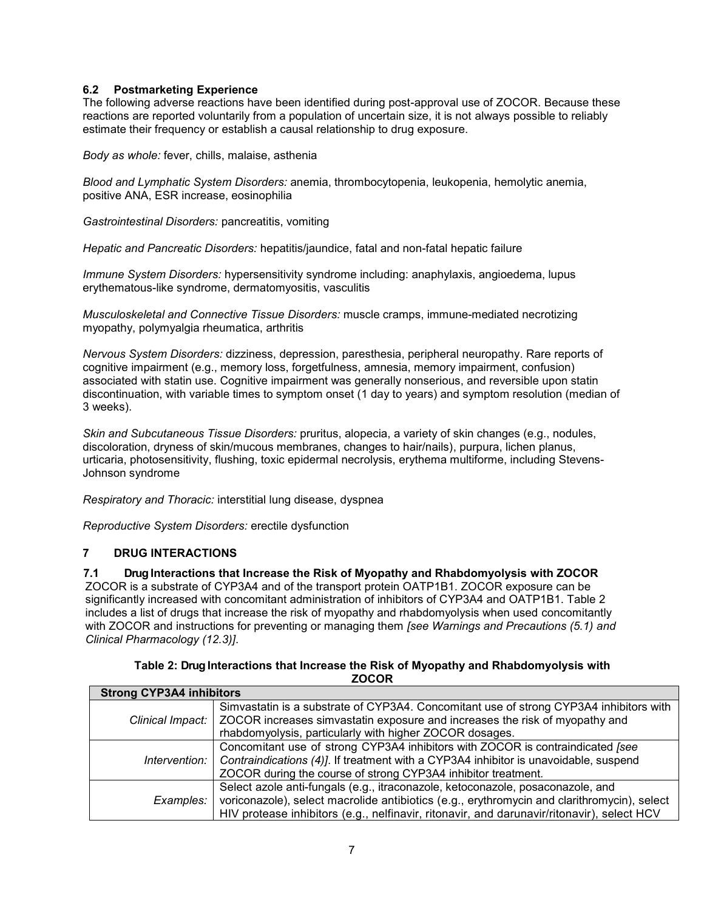# **6.2 Postmarketing Experience**

The following adverse reactions have been identified during post-approval use of ZOCOR. Because these reactions are reported voluntarily from a population of uncertain size, it is not always possible to reliably estimate their frequency or establish a causal relationship to drug exposure.

*Body as whole:* fever, chills, malaise, asthenia

*Blood and Lymphatic System Disorders:* anemia, thrombocytopenia, leukopenia, hemolytic anemia, positive ANA, ESR increase, eosinophilia

*Gastrointestinal Disorders:* pancreatitis, vomiting

*Hepatic and Pancreatic Disorders:* hepatitis/jaundice, fatal and non-fatal hepatic failure

*Immune System Disorders:* hypersensitivity syndrome including: anaphylaxis, angioedema, lupus erythematous-like syndrome, dermatomyositis, vasculitis

*Musculoskeletal and Connective Tissue Disorders:* muscle cramps, immune-mediated necrotizing myopathy, polymyalgia rheumatica, arthritis

*Nervous System Disorders:* dizziness, depression, paresthesia, peripheral neuropathy. Rare reports of cognitive impairment (e.g., memory loss, forgetfulness, amnesia, memory impairment, confusion) associated with statin use. Cognitive impairment was generally nonserious, and reversible upon statin discontinuation, with variable times to symptom onset (1 day to years) and symptom resolution (median of 3 weeks).

*Skin and Subcutaneous Tissue Disorders:* pruritus, alopecia, a variety of skin changes (e.g., nodules, discoloration, dryness of skin/mucous membranes, changes to hair/nails), purpura, lichen planus, urticaria, photosensitivity, flushing, toxic epidermal necrolysis, erythema multiforme, including Stevens-Johnson syndrome

*Respiratory and Thoracic:* interstitial lung disease, dyspnea

*Reproductive System Disorders:* erectile dysfunction

# **7 DRUG INTERACTIONS**

**7.1 Drug Interactions that Increase the Risk of Myopathy and Rhabdomyolysis with ZOCOR**

ZOCOR is a substrate of CYP3A4 and of the transport protein OATP1B1. ZOCOR exposure can be significantly increased with concomitant administration of inhibitors of CYP3A4 and OATP1B1. Table 2 includes a list of drugs that increase the risk of myopathy and rhabdomyolysis when used concomitantly with ZOCOR and instructions for preventing or managing them *[see Warnings and Precautions (5.1) and Clinical Pharmacology (12.3)]*.

| Table 2: Drug Interactions that Increase the Risk of Myopathy and Rhabdomyolysis with |
|---------------------------------------------------------------------------------------|
| <b>ZOCOR</b>                                                                          |

| <b>Strong CYP3A4 inhibitors</b> |                                                                                                                                                                                                                                                                             |
|---------------------------------|-----------------------------------------------------------------------------------------------------------------------------------------------------------------------------------------------------------------------------------------------------------------------------|
|                                 | Simvastatin is a substrate of CYP3A4. Concomitant use of strong CYP3A4 inhibitors with<br>Clinical Impact:   ZOCOR increases simvastatin exposure and increases the risk of myopathy and<br>rhabdomyolysis, particularly with higher ZOCOR dosages.                         |
| Intervention:                   | Concomitant use of strong CYP3A4 inhibitors with ZOCOR is contraindicated [see<br>Contraindications (4)]. If treatment with a CYP3A4 inhibitor is unavoidable, suspend<br>ZOCOR during the course of strong CYP3A4 inhibitor treatment.                                     |
| Examples:                       | Select azole anti-fungals (e.g., itraconazole, ketoconazole, posaconazole, and<br>voriconazole), select macrolide antibiotics (e.g., erythromycin and clarithromycin), select<br>HIV protease inhibitors (e.g., nelfinavir, ritonavir, and darunavir/ritonavir), select HCV |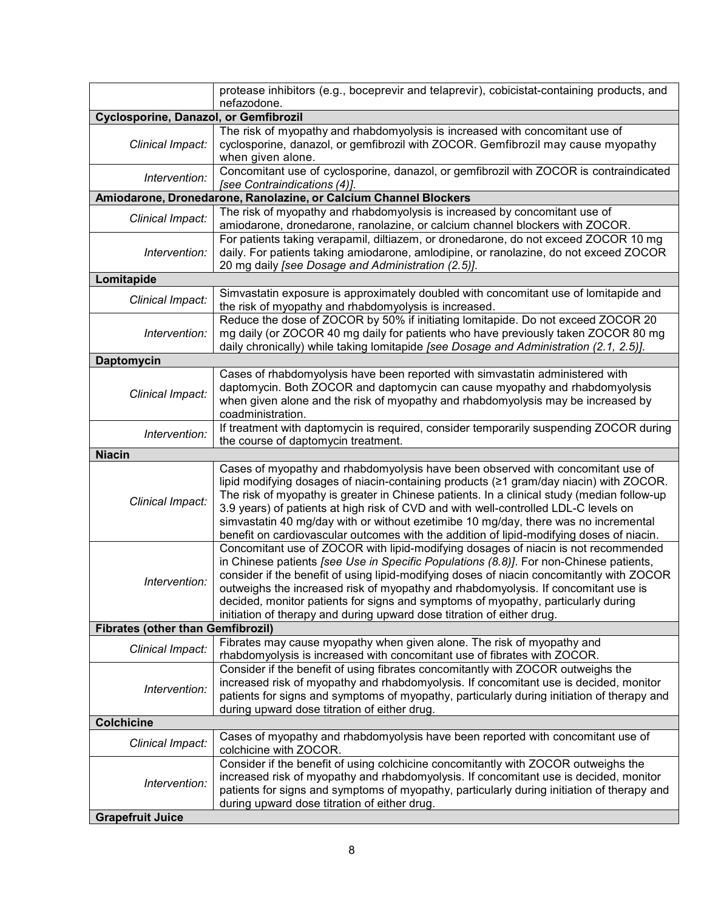|                                          | protease inhibitors (e.g., boceprevir and telaprevir), cobicistat-containing products, and                                                                                                                                                                                                                                                                                                                                                                                                                                                        |
|------------------------------------------|---------------------------------------------------------------------------------------------------------------------------------------------------------------------------------------------------------------------------------------------------------------------------------------------------------------------------------------------------------------------------------------------------------------------------------------------------------------------------------------------------------------------------------------------------|
|                                          | nefazodone.                                                                                                                                                                                                                                                                                                                                                                                                                                                                                                                                       |
| Cyclosporine, Danazol, or Gemfibrozil    |                                                                                                                                                                                                                                                                                                                                                                                                                                                                                                                                                   |
| Clinical Impact:                         | The risk of myopathy and rhabdomyolysis is increased with concomitant use of<br>cyclosporine, danazol, or gemfibrozil with ZOCOR. Gemfibrozil may cause myopathy<br>when given alone.                                                                                                                                                                                                                                                                                                                                                             |
| Intervention:                            | Concomitant use of cyclosporine, danazol, or gemfibrozil with ZOCOR is contraindicated<br>[see Contraindications (4)].                                                                                                                                                                                                                                                                                                                                                                                                                            |
|                                          | Amiodarone, Dronedarone, Ranolazine, or Calcium Channel Blockers                                                                                                                                                                                                                                                                                                                                                                                                                                                                                  |
| Clinical Impact:                         | The risk of myopathy and rhabdomyolysis is increased by concomitant use of<br>amiodarone, dronedarone, ranolazine, or calcium channel blockers with ZOCOR.                                                                                                                                                                                                                                                                                                                                                                                        |
| Intervention:                            | For patients taking verapamil, diltiazem, or dronedarone, do not exceed ZOCOR 10 mg<br>daily. For patients taking amiodarone, amlodipine, or ranolazine, do not exceed ZOCOR<br>20 mg daily [see Dosage and Administration (2.5)].                                                                                                                                                                                                                                                                                                                |
| Lomitapide                               |                                                                                                                                                                                                                                                                                                                                                                                                                                                                                                                                                   |
| Clinical Impact:                         | Simvastatin exposure is approximately doubled with concomitant use of lomitapide and<br>the risk of myopathy and rhabdomyolysis is increased.                                                                                                                                                                                                                                                                                                                                                                                                     |
| Intervention:                            | Reduce the dose of ZOCOR by 50% if initiating lomitapide. Do not exceed ZOCOR 20<br>mg daily (or ZOCOR 40 mg daily for patients who have previously taken ZOCOR 80 mg<br>daily chronically) while taking lomitapide [see Dosage and Administration (2.1, 2.5)].                                                                                                                                                                                                                                                                                   |
| <b>Daptomycin</b>                        |                                                                                                                                                                                                                                                                                                                                                                                                                                                                                                                                                   |
| Clinical Impact:                         | Cases of rhabdomyolysis have been reported with simvastatin administered with<br>daptomycin. Both ZOCOR and daptomycin can cause myopathy and rhabdomyolysis<br>when given alone and the risk of myopathy and rhabdomyolysis may be increased by<br>coadministration.                                                                                                                                                                                                                                                                             |
| Intervention:                            | If treatment with daptomycin is required, consider temporarily suspending ZOCOR during<br>the course of daptomycin treatment.                                                                                                                                                                                                                                                                                                                                                                                                                     |
| <b>Niacin</b>                            |                                                                                                                                                                                                                                                                                                                                                                                                                                                                                                                                                   |
| Clinical Impact:                         | Cases of myopathy and rhabdomyolysis have been observed with concomitant use of<br>lipid modifying dosages of niacin-containing products (≥1 gram/day niacin) with ZOCOR.<br>The risk of myopathy is greater in Chinese patients. In a clinical study (median follow-up<br>3.9 years) of patients at high risk of CVD and with well-controlled LDL-C levels on<br>simvastatin 40 mg/day with or without ezetimibe 10 mg/day, there was no incremental<br>benefit on cardiovascular outcomes with the addition of lipid-modifying doses of niacin. |
| Intervention:                            | Concomitant use of ZOCOR with lipid-modifying dosages of niacin is not recommended<br>in Chinese patients [see Use in Specific Populations (8.8)]. For non-Chinese patients,<br>consider if the benefit of using lipid-modifying doses of niacin concomitantly with ZOCOR<br>outweighs the increased risk of myopathy and rhabdomyolysis. If concomitant use is<br>decided, monitor patients for signs and symptoms of myopathy, particularly during<br>initiation of therapy and during upward dose titration of either drug.                    |
| <b>Fibrates (other than Gemfibrozil)</b> |                                                                                                                                                                                                                                                                                                                                                                                                                                                                                                                                                   |
| Clinical Impact:                         | Fibrates may cause myopathy when given alone. The risk of myopathy and<br>rhabdomyolysis is increased with concomitant use of fibrates with ZOCOR.                                                                                                                                                                                                                                                                                                                                                                                                |
| Intervention:                            | Consider if the benefit of using fibrates concomitantly with ZOCOR outweighs the<br>increased risk of myopathy and rhabdomyolysis. If concomitant use is decided, monitor<br>patients for signs and symptoms of myopathy, particularly during initiation of therapy and<br>during upward dose titration of either drug.                                                                                                                                                                                                                           |
| <b>Colchicine</b>                        |                                                                                                                                                                                                                                                                                                                                                                                                                                                                                                                                                   |
| Clinical Impact:                         | Cases of myopathy and rhabdomyolysis have been reported with concomitant use of<br>colchicine with ZOCOR.                                                                                                                                                                                                                                                                                                                                                                                                                                         |
|                                          | Consider if the benefit of using colchicine concomitantly with ZOCOR outweighs the                                                                                                                                                                                                                                                                                                                                                                                                                                                                |
| Intervention:<br><b>Grapefruit Juice</b> | increased risk of myopathy and rhabdomyolysis. If concomitant use is decided, monitor<br>patients for signs and symptoms of myopathy, particularly during initiation of therapy and<br>during upward dose titration of either drug.                                                                                                                                                                                                                                                                                                               |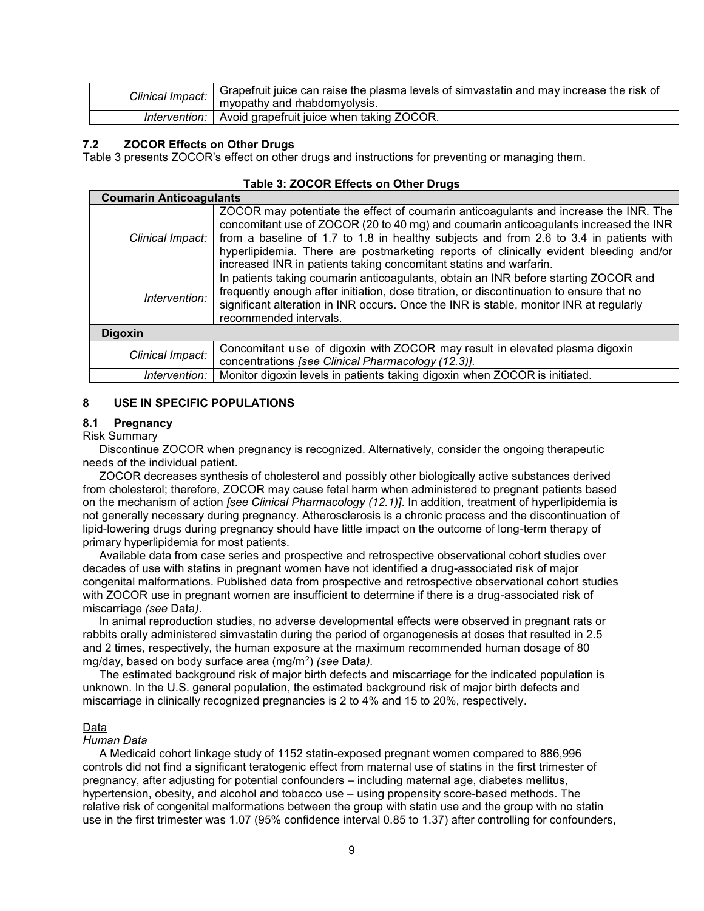| Clinical Impact: | Grapefruit juice can raise the plasma levels of simvastatin and may increase the risk of |
|------------------|------------------------------------------------------------------------------------------|
|                  | myopathy and rhabdomyolysis.                                                             |
| Intervention:    | Avoid grapefruit juice when taking ZOCOR.                                                |

#### **7.2 ZOCOR Effects on Other Drugs**

Table 3 presents ZOCOR's effect on other drugs and instructions for preventing or managing them.

|  | Table 3: ZOCOR Effects on Other Drugs |  |
|--|---------------------------------------|--|
|--|---------------------------------------|--|

| <b>Coumarin Anticoagulants</b> |                                                                                                                                                                                                                                                                                                                                                                                                                                       |
|--------------------------------|---------------------------------------------------------------------------------------------------------------------------------------------------------------------------------------------------------------------------------------------------------------------------------------------------------------------------------------------------------------------------------------------------------------------------------------|
| Clinical Impact:               | ZOCOR may potentiate the effect of coumarin anticoagulants and increase the INR. The<br>concomitant use of ZOCOR (20 to 40 mg) and coumarin anticoagulants increased the INR<br>from a baseline of 1.7 to 1.8 in healthy subjects and from 2.6 to 3.4 in patients with<br>hyperlipidemia. There are postmarketing reports of clinically evident bleeding and/or<br>increased INR in patients taking concomitant statins and warfarin. |
| Intervention:                  | In patients taking coumarin anticoagulants, obtain an INR before starting ZOCOR and<br>frequently enough after initiation, dose titration, or discontinuation to ensure that no<br>significant alteration in INR occurs. Once the INR is stable, monitor INR at regularly<br>recommended intervals.                                                                                                                                   |
| <b>Digoxin</b>                 |                                                                                                                                                                                                                                                                                                                                                                                                                                       |
| Clinical Impact:               | Concomitant use of digoxin with ZOCOR may result in elevated plasma digoxin<br>concentrations [see Clinical Pharmacology (12.3)].                                                                                                                                                                                                                                                                                                     |
| Intervention:                  | Monitor digoxin levels in patients taking digoxin when ZOCOR is initiated.                                                                                                                                                                                                                                                                                                                                                            |

### **8 USE IN SPECIFIC POPULATIONS**

# **8.1 Pregnancy**

# Risk Summary

Discontinue ZOCOR when pregnancy is recognized. Alternatively, consider the ongoing therapeutic needs of the individual patient.

ZOCOR decreases synthesis of cholesterol and possibly other biologically active substances derived from cholesterol; therefore, ZOCOR may cause fetal harm when administered to pregnant patients based on the mechanism of action *[see Clinical Pharmacology (12.1)]*. In addition, treatment of hyperlipidemia is not generally necessary during pregnancy. Atherosclerosis is a chronic process and the discontinuation of lipid-lowering drugs during pregnancy should have little impact on the outcome of long-term therapy of primary hyperlipidemia for most patients.

Available data from case series and prospective and retrospective observational cohort studies over decades of use with statins in pregnant women have not identified a drug-associated risk of major congenital malformations. Published data from prospective and retrospective observational cohort studies with ZOCOR use in pregnant women are insufficient to determine if there is a drug-associated risk of miscarriage *(see* Data*)*.

In animal reproduction studies, no adverse developmental effects were observed in pregnant rats or rabbits orally administered simvastatin during the period of organogenesis at doses that resulted in 2.5 and 2 times, respectively, the human exposure at the maximum recommended human dosage of 80 mg/day, based on body surface area (mg/m<sup>2</sup> ) *(see* Data*).*

The estimated background risk of major birth defects and miscarriage for the indicated population is unknown. In the U.S. general population, the estimated background risk of major birth defects and miscarriage in clinically recognized pregnancies is 2 to 4% and 15 to 20%, respectively.

#### Data

#### *Human Data*

A Medicaid cohort linkage study of 1152 statin-exposed pregnant women compared to 886,996 controls did not find a significant teratogenic effect from maternal use of statins in the first trimester of pregnancy, after adjusting for potential confounders – including maternal age, diabetes mellitus, hypertension, obesity, and alcohol and tobacco use – using propensity score-based methods. The relative risk of congenital malformations between the group with statin use and the group with no statin use in the first trimester was 1.07 (95% confidence interval 0.85 to 1.37) after controlling for confounders,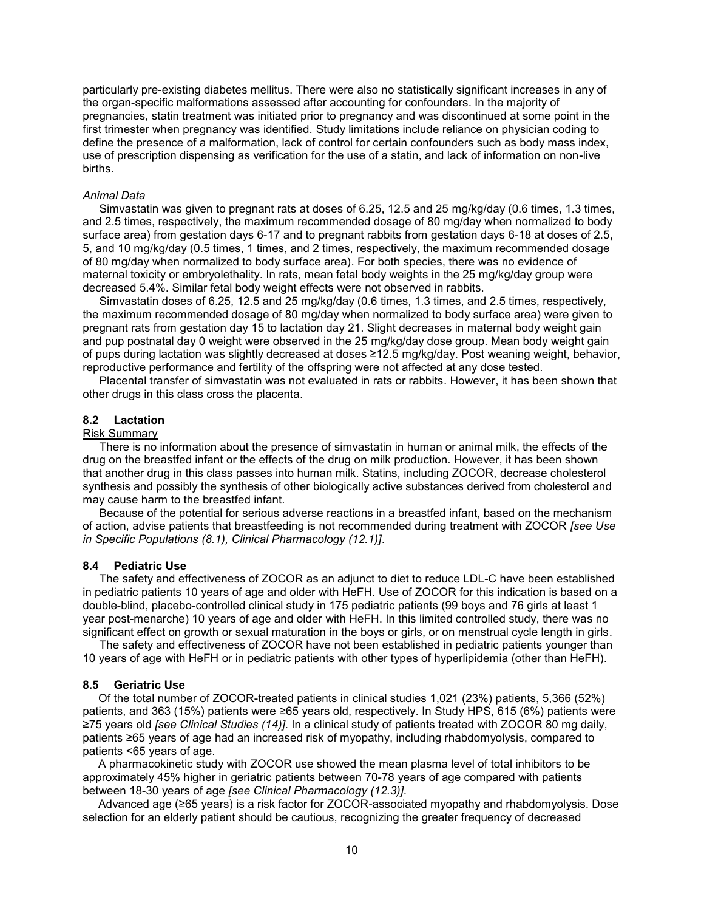particularly pre-existing diabetes mellitus. There were also no statistically significant increases in any of the organ-specific malformations assessed after accounting for confounders. In the majority of pregnancies, statin treatment was initiated prior to pregnancy and was discontinued at some point in the first trimester when pregnancy was identified. Study limitations include reliance on physician coding to define the presence of a malformation, lack of control for certain confounders such as body mass index, use of prescription dispensing as verification for the use of a statin, and lack of information on non-live births.

#### *Animal Data*

Simvastatin was given to pregnant rats at doses of 6.25, 12.5 and 25 mg/kg/day (0.6 times, 1.3 times, and 2.5 times, respectively, the maximum recommended dosage of 80 mg/day when normalized to body surface area) from gestation days 6-17 and to pregnant rabbits from gestation days 6-18 at doses of 2.5, 5, and 10 mg/kg/day (0.5 times, 1 times, and 2 times, respectively, the maximum recommended dosage of 80 mg/day when normalized to body surface area). For both species, there was no evidence of maternal toxicity or embryolethality. In rats, mean fetal body weights in the 25 mg/kg/day group were decreased 5.4%. Similar fetal body weight effects were not observed in rabbits.

Simvastatin doses of 6.25, 12.5 and 25 mg/kg/day (0.6 times, 1.3 times, and 2.5 times, respectively, the maximum recommended dosage of 80 mg/day when normalized to body surface area) were given to pregnant rats from gestation day 15 to lactation day 21. Slight decreases in maternal body weight gain and pup postnatal day 0 weight were observed in the 25 mg/kg/day dose group. Mean body weight gain of pups during lactation was slightly decreased at doses ≥12.5 mg/kg/day. Post weaning weight, behavior, reproductive performance and fertility of the offspring were not affected at any dose tested.

Placental transfer of simvastatin was not evaluated in rats or rabbits. However, it has been shown that other drugs in this class cross the placenta.

# **8.2 Lactation**

#### Risk Summary

There is no information about the presence of simvastatin in human or animal milk, the effects of the drug on the breastfed infant or the effects of the drug on milk production. However, it has been shown that another drug in this class passes into human milk. Statins, including ZOCOR, decrease cholesterol synthesis and possibly the synthesis of other biologically active substances derived from cholesterol and may cause harm to the breastfed infant.

Because of the potential for serious adverse reactions in a breastfed infant, based on the mechanism of action, advise patients that breastfeeding is not recommended during treatment with ZOCOR *[see Use in Specific Populations (8.1), Clinical Pharmacology (12.1)]*.

### **8.4 Pediatric Use**

The safety and effectiveness of ZOCOR as an adjunct to diet to reduce LDL-C have been established in pediatric patients 10 years of age and older with HeFH. Use of ZOCOR for this indication is based on a double-blind, placebo-controlled clinical study in 175 pediatric patients (99 boys and 76 girls at least 1 year post-menarche) 10 years of age and older with HeFH. In this limited controlled study, there was no significant effect on growth or sexual maturation in the boys or girls, or on menstrual cycle length in girls.

The safety and effectiveness of ZOCOR have not been established in pediatric patients younger than 10 years of age with HeFH or in pediatric patients with other types of hyperlipidemia (other than HeFH).

### **8.5 Geriatric Use**

Of the total number of ZOCOR-treated patients in clinical studies 1,021 (23%) patients, 5,366 (52%) patients, and 363 (15%) patients were ≥65 years old, respectively. In Study HPS, 615 (6%) patients were ≥75 years old *[see Clinical Studies (14)]*. In a clinical study of patients treated with ZOCOR 80 mg daily, patients ≥65 years of age had an increased risk of myopathy, including rhabdomyolysis, compared to patients <65 years of age.

A pharmacokinetic study with ZOCOR use showed the mean plasma level of total inhibitors to be approximately 45% higher in geriatric patients between 70-78 years of age compared with patients between 18-30 years of age *[see Clinical Pharmacology (12.3)]*.

Advanced age (≥65 years) is a risk factor for ZOCOR-associated myopathy and rhabdomyolysis. Dose selection for an elderly patient should be cautious, recognizing the greater frequency of decreased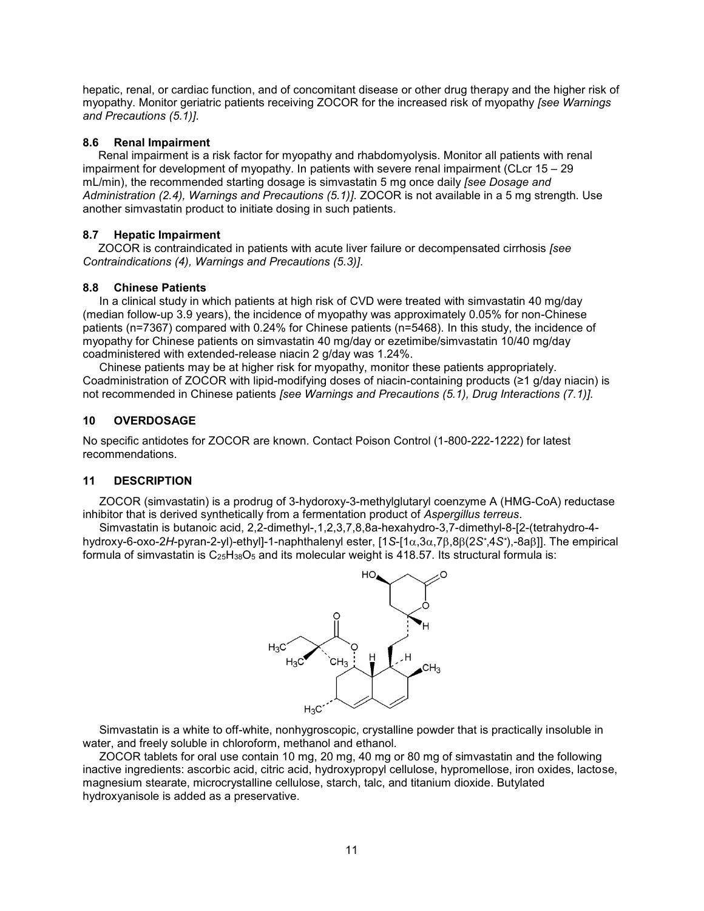hepatic, renal, or cardiac function, and of concomitant disease or other drug therapy and the higher risk of myopathy. Monitor geriatric patients receiving ZOCOR for the increased risk of myopathy *[see Warnings and Precautions (5.1)]*.

# **8.6 Renal Impairment**

Renal impairment is a risk factor for myopathy and rhabdomyolysis. Monitor all patients with renal impairment for development of myopathy. In patients with severe renal impairment (CLcr 15 – 29 mL/min), the recommended starting dosage is simvastatin 5 mg once daily *[see Dosage and Administration (2.4), Warnings and Precautions (5.1)]*. ZOCOR is not available in a 5 mg strength. Use another simvastatin product to initiate dosing in such patients.

# **8.7 Hepatic Impairment**

ZOCOR is contraindicated in patients with acute liver failure or decompensated cirrhosis *[see Contraindications (4), Warnings and Precautions (5.3)]*.

# **8.8 Chinese Patients**

In a clinical study in which patients at high risk of CVD were treated with simvastatin 40 mg/day (median follow-up 3.9 years), the incidence of myopathy was approximately 0.05% for non-Chinese patients (n=7367) compared with 0.24% for Chinese patients (n=5468). In this study, the incidence of myopathy for Chinese patients on simvastatin 40 mg/day or ezetimibe/simvastatin 10/40 mg/day coadministered with extended-release niacin 2 g/day was 1.24%.

Chinese patients may be at higher risk for myopathy, monitor these patients appropriately. Coadministration of ZOCOR with lipid-modifying doses of niacin-containing products (≥1 g/day niacin) is not recommended in Chinese patients *[see Warnings and Precautions (5.1), Drug Interactions (7.1)]*.

# **10 OVERDOSAGE**

No specific antidotes for ZOCOR are known. Contact Poison Control (1-800-222-1222) for latest recommendations.

# **11 DESCRIPTION**

ZOCOR (simvastatin) is a prodrug of 3-hydoroxy-3-methylglutaryl coenzyme A (HMG-CoA) reductase inhibitor that is derived synthetically from a fermentation product of *Aspergillus terreus*.

Simvastatin is butanoic acid, 2,2-dimethyl-,1,2,3,7,8,8a-hexahydro-3,7-dimethyl-8-[2-(tetrahydro-4 hydroxy-6-oxo-2*H*-pyran-2-yl)-ethyl]-1-naphthalenyl ester, [1*S*-[1,3,7,8(2*S\**,4*S\**),-8a]]. The empirical formula of simvastatin is  $C_{25}H_{38}O_5$  and its molecular weight is 418.57. Its structural formula is:



Simvastatin is a white to off-white, nonhygroscopic, crystalline powder that is practically insoluble in water, and freely soluble in chloroform, methanol and ethanol.

ZOCOR tablets for oral use contain 10 mg, 20 mg, 40 mg or 80 mg of simvastatin and the following inactive ingredients: ascorbic acid, citric acid, hydroxypropyl cellulose, hypromellose, iron oxides, lactose, magnesium stearate, microcrystalline cellulose, starch, talc, and titanium dioxide. Butylated hydroxyanisole is added as a preservative.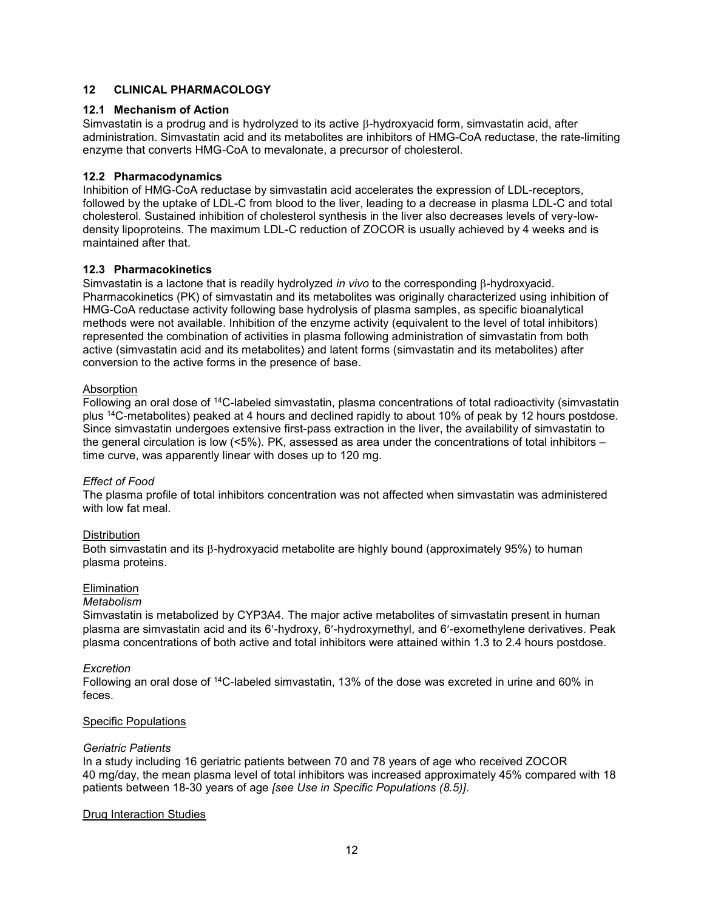# **12 CLINICAL PHARMACOLOGY**

# **12.1 Mechanism of Action**

Simvastatin is a prodrug and is hydrolyzed to its active  $\beta$ -hydroxyacid form, simvastatin acid, after administration. Simvastatin acid and its metabolites are inhibitors of HMG-CoA reductase, the rate-limiting enzyme that converts HMG-CoA to mevalonate, a precursor of cholesterol.

# **12.2 Pharmacodynamics**

Inhibition of HMG-CoA reductase by simvastatin acid accelerates the expression of LDL-receptors, followed by the uptake of LDL-C from blood to the liver, leading to a decrease in plasma LDL-C and total cholesterol. Sustained inhibition of cholesterol synthesis in the liver also decreases levels of very-lowdensity lipoproteins. The maximum LDL-C reduction of ZOCOR is usually achieved by 4 weeks and is maintained after that.

# **12.3 Pharmacokinetics**

Simvastatin is a lactone that is readily hydrolyzed *in vivo* to the corresponding  $\beta$ -hydroxyacid. Pharmacokinetics (PK) of simvastatin and its metabolites was originally characterized using inhibition of HMG-CoA reductase activity following base hydrolysis of plasma samples, as specific bioanalytical methods were not available. Inhibition of the enzyme activity (equivalent to the level of total inhibitors) represented the combination of activities in plasma following administration of simvastatin from both active (simvastatin acid and its metabolites) and latent forms (simvastatin and its metabolites) after conversion to the active forms in the presence of base.

# Absorption

Following an oral dose of <sup>14</sup>C-labeled simvastatin, plasma concentrations of total radioactivity (simvastatin plus <sup>14</sup>C-metabolites) peaked at 4 hours and declined rapidly to about 10% of peak by 12 hours postdose. Since simvastatin undergoes extensive first-pass extraction in the liver, the availability of simvastatin to the general circulation is low (<5%). PK, assessed as area under the concentrations of total inhibitors – time curve, was apparently linear with doses up to 120 mg.

# *Effect of Food*

The plasma profile of total inhibitors concentration was not affected when simvastatin was administered with low fat meal.

# **Distribution**

Both simvastatin and its  $\beta$ -hydroxyacid metabolite are highly bound (approximately 95%) to human plasma proteins.

# Elimination

# *Metabolism*

Simvastatin is metabolized by CYP3A4. The major active metabolites of simvastatin present in human plasma are simvastatin acid and its 6-hydroxy, 6-hydroxymethyl, and 6-exomethylene derivatives. Peak plasma concentrations of both active and total inhibitors were attained within 1.3 to 2.4 hours postdose.

# *Excretion*

Following an oral dose of <sup>14</sup>C-labeled simvastatin, 13% of the dose was excreted in urine and 60% in feces.

# **Specific Populations**

# *Geriatric Patients*

In a study including 16 geriatric patients between 70 and 78 years of age who received ZOCOR 40 mg/day, the mean plasma level of total inhibitors was increased approximately 45% compared with 18 patients between 18-30 years of age *[see Use in Specific Populations (8.5)]*.

# Drug Interaction Studies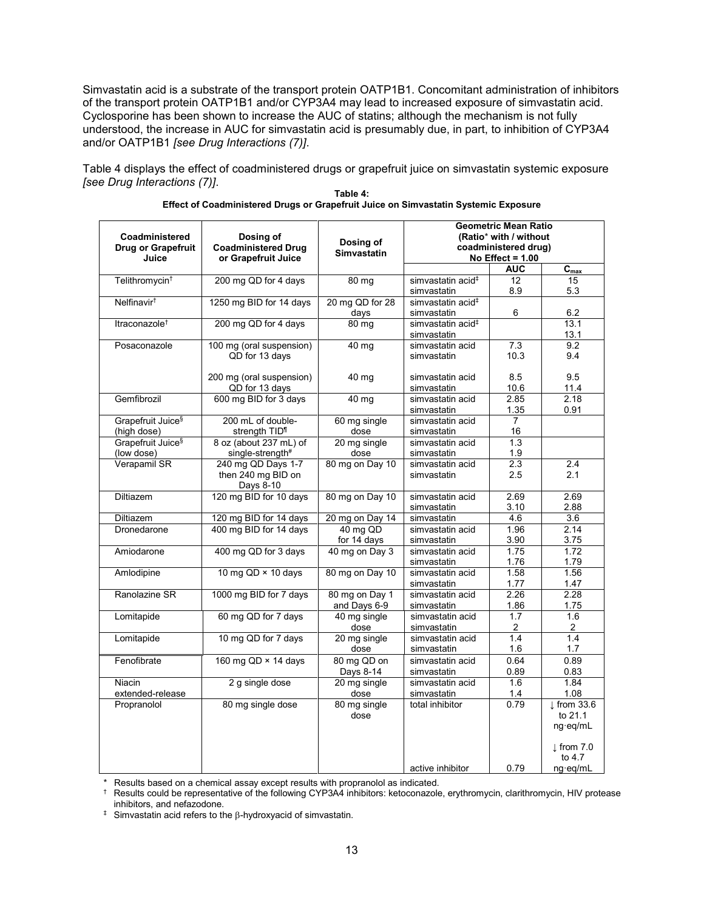Simvastatin acid is a substrate of the transport protein OATP1B1. Concomitant administration of inhibitors of the transport protein OATP1B1 and/or CYP3A4 may lead to increased exposure of simvastatin acid. Cyclosporine has been shown to increase the AUC of statins; although the mechanism is not fully understood, the increase in AUC for simvastatin acid is presumably due, in part, to inhibition of CYP3A4 and/or OATP1B1 *[see Drug Interactions (7)]*.

Table 4 displays the effect of coadministered drugs or grapefruit juice on simvastatin systemic exposure *[see Drug Interactions (7)]*.

| Coadministered<br><b>Drug or Grapefruit</b><br>Juice | Dosing of<br><b>Coadministered Drug</b><br>or Grapefruit Juice | Dosing of<br><b>Simvastatin</b> | <b>Geometric Mean Ratio</b><br>(Ratio* with / without<br>coadministered drug)<br>No Effect = $1.00$ |                |                                 |
|------------------------------------------------------|----------------------------------------------------------------|---------------------------------|-----------------------------------------------------------------------------------------------------|----------------|---------------------------------|
|                                                      |                                                                |                                 |                                                                                                     | <b>AUC</b>     | $C_{\text{max}}$                |
| Telithromycin <sup>+</sup>                           | 200 mg QD for 4 days                                           | 80 mg                           | simvastatin acid <sup>#</sup>                                                                       | 12             | 15                              |
|                                                      |                                                                |                                 | simvastatin                                                                                         | 8.9            | 5.3                             |
| Nelfinavir <sup>†</sup>                              | 1250 mg BID for 14 days                                        | 20 mg QD for 28                 | simvastatin acid <sup>#</sup>                                                                       |                |                                 |
|                                                      |                                                                | days                            | simvastatin                                                                                         | 6              | 6.2                             |
| Itraconazole <sup>+</sup>                            | 200 mg QD for 4 days                                           | $80 \text{ mg}$                 | simvastatin acid <sup>#</sup><br>simvastatin                                                        |                | 13.1<br>13.1                    |
| Posaconazole                                         | 100 mg (oral suspension)<br>QD for 13 days                     | 40 mg                           | simvastatin acid<br>simvastatin                                                                     | 7.3<br>10.3    | 9.2<br>9.4                      |
|                                                      | 200 mg (oral suspension)<br>QD for 13 days                     | 40 mg                           | simvastatin acid<br>simvastatin                                                                     | 8.5<br>10.6    | 9.5<br>11.4                     |
| Gemfibrozil                                          | 600 mg BID for 3 days                                          | 40 mg                           | simvastatin acid                                                                                    | 2.85           | 2.18                            |
|                                                      |                                                                |                                 | simvastatin                                                                                         | 1.35           | 0.91                            |
| Grapefruit Juice <sup>§</sup>                        | 200 mL of double-                                              | 60 mg single                    | simvastatin acid                                                                                    | $\overline{7}$ |                                 |
| (high dose)                                          | strength TID <sup>1</sup>                                      | dose                            | simvastatin                                                                                         | 16             |                                 |
| Grapefruit Juice <sup>§</sup>                        | 8 oz (about 237 mL) of                                         | 20 mg single                    | simvastatin acid                                                                                    | 1.3            |                                 |
| (low dose)                                           | single-strength#                                               | dose                            | simvastatin                                                                                         | 1.9            |                                 |
| Verapamil SR                                         | 240 mg QD Days 1-7<br>then 240 mg BID on<br>Days 8-10          | 80 mg on Day 10                 | simvastatin acid<br>simvastatin                                                                     | 2.3<br>2.5     | 2.4<br>2.1                      |
| Diltiazem                                            | 120 mg BID for 10 days                                         | 80 mg on Day 10                 | simvastatin acid                                                                                    | 2.69           | 2.69                            |
|                                                      |                                                                |                                 | simvastatin                                                                                         | 3.10           | 2.88                            |
| <b>Diltiazem</b>                                     | 120 mg BID for 14 days                                         | 20 mg on Day 14                 | simvastatin                                                                                         | 4.6            | 3.6                             |
| Dronedarone                                          | 400 mg BID for 14 days                                         | $40 \text{ mg QD}$              | simvastatin acid                                                                                    | 1.96           | 2.14                            |
|                                                      |                                                                | for 14 days                     | simvastatin                                                                                         | 3.90           | 3.75                            |
| Amiodarone                                           | 400 mg QD for 3 days                                           | 40 mg on Day 3                  | simvastatin acid                                                                                    | 1.75           | 1.72                            |
|                                                      |                                                                |                                 | simvastatin                                                                                         | 1.76           | 1.79                            |
| Amlodipine                                           | 10 mg $QD \times 10$ days                                      | 80 mg on Day 10                 | simvastatin acid                                                                                    | 1.58           | 1.56                            |
|                                                      |                                                                |                                 | simvastatin                                                                                         | 1.77           | 1.47                            |
| Ranolazine SR                                        | 1000 mg BID for 7 days                                         | 80 mg on Day 1                  | simvastatin acid                                                                                    | 2.26           | 2.28                            |
|                                                      |                                                                | and Days 6-9                    | simvastatin                                                                                         | 1.86           | 1.75                            |
| Lomitapide                                           | 60 mg QD for 7 days                                            | 40 mg single                    | simvastatin acid                                                                                    | 1.7            | 1.6                             |
|                                                      |                                                                | dose                            | simvastatin                                                                                         | 2              | 2                               |
| Lomitapide                                           | 10 mg QD for 7 days                                            | 20 mg single<br>dose            | simvastatin acid<br>simvastatin                                                                     | 1.4<br>1.6     | 1.4<br>1.7                      |
| Fenofibrate                                          | 160 mg QD × 14 days                                            | 80 mg QD on                     | simvastatin acid                                                                                    | 0.64           | 0.89                            |
|                                                      |                                                                | Days 8-14                       | simvastatin                                                                                         | 0.89           | 0.83                            |
| Niacin                                               | 2 g single dose                                                | 20 mg single                    | simvastatin acid                                                                                    | 1.6            | 1.84                            |
| extended-release                                     |                                                                | dose                            | simvastatin                                                                                         | 1.4            | 1.08                            |
| Propranolol                                          | 80 mg single dose                                              | 80 mg single                    | total inhibitor                                                                                     | 0.79           | $\perp$ from 33.6               |
|                                                      |                                                                | dose                            |                                                                                                     |                | to 21.1                         |
|                                                      |                                                                |                                 |                                                                                                     |                | ng·eq/mL                        |
|                                                      |                                                                |                                 |                                                                                                     |                | $\downarrow$ from 7.0<br>to 4.7 |
|                                                      |                                                                |                                 | active inhibitor                                                                                    | 0.79           | ng·eg/mL                        |

| Table 4:                                                                            |  |
|-------------------------------------------------------------------------------------|--|
| Effect of Coadministered Drugs or Grapefruit Juice on Simvastatin Systemic Exposure |  |

\* Results based on a chemical assay except results with propranolol as indicated.<br>  $\uparrow$  Results could be representative of the following CYP3A4 inhibitors: ketoconazole

† Results could be representative of the following CYP3A4 inhibitors: ketoconazole, erythromycin, clarithromycin, HIV protease inhibitors, and nefazodone.

 $\ddagger$  Simvastatin acid refers to the  $\beta$ -hydroxyacid of simvastatin.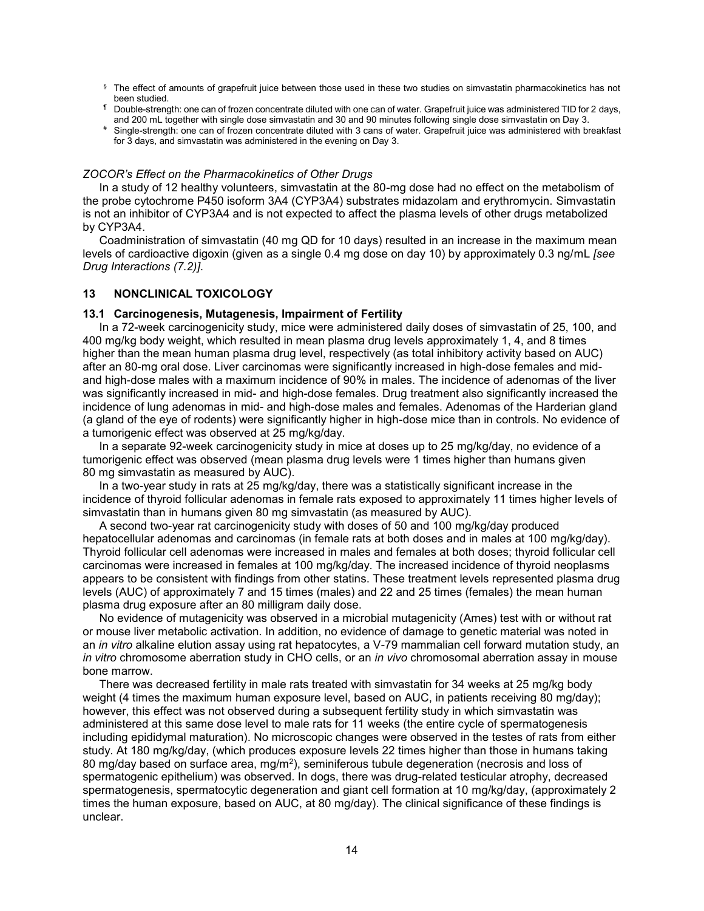- $§$  The effect of amounts of grapefruit juice between those used in these two studies on simvastatin pharmacokinetics has not been studied.
- ¶ Double-strength: one can of frozen concentrate diluted with one can of water. Grapefruit juice was administered TID for 2 days, and 200 mL together with single dose simvastatin and 30 and 90 minutes following single dose simvastatin on Day 3.
- # Single-strength: one can of frozen concentrate diluted with 3 cans of water. Grapefruit juice was administered with breakfast for 3 days, and simvastatin was administered in the evening on Day 3.

### *ZOCOR's Effect on the Pharmacokinetics of Other Drugs*

In a study of 12 healthy volunteers, simvastatin at the 80-mg dose had no effect on the metabolism of the probe cytochrome P450 isoform 3A4 (CYP3A4) substrates midazolam and erythromycin. Simvastatin is not an inhibitor of CYP3A4 and is not expected to affect the plasma levels of other drugs metabolized by CYP3A4.

Coadministration of simvastatin (40 mg QD for 10 days) resulted in an increase in the maximum mean levels of cardioactive digoxin (given as a single 0.4 mg dose on day 10) by approximately 0.3 ng/mL *[see Drug Interactions (7.2)]*.

### **13 NONCLINICAL TOXICOLOGY**

#### **13.1 Carcinogenesis, Mutagenesis, Impairment of Fertility**

In a 72-week carcinogenicity study, mice were administered daily doses of simvastatin of 25, 100, and 400 mg/kg body weight, which resulted in mean plasma drug levels approximately 1, 4, and 8 times higher than the mean human plasma drug level, respectively (as total inhibitory activity based on AUC) after an 80-mg oral dose. Liver carcinomas were significantly increased in high-dose females and midand high-dose males with a maximum incidence of 90% in males. The incidence of adenomas of the liver was significantly increased in mid- and high-dose females. Drug treatment also significantly increased the incidence of lung adenomas in mid- and high-dose males and females. Adenomas of the Harderian gland (a gland of the eye of rodents) were significantly higher in high-dose mice than in controls. No evidence of a tumorigenic effect was observed at 25 mg/kg/day.

In a separate 92-week carcinogenicity study in mice at doses up to 25 mg/kg/day, no evidence of a tumorigenic effect was observed (mean plasma drug levels were 1 times higher than humans given 80 mg simvastatin as measured by AUC).

In a two-year study in rats at 25 mg/kg/day, there was a statistically significant increase in the incidence of thyroid follicular adenomas in female rats exposed to approximately 11 times higher levels of simvastatin than in humans given 80 mg simvastatin (as measured by AUC).

A second two-year rat carcinogenicity study with doses of 50 and 100 mg/kg/day produced hepatocellular adenomas and carcinomas (in female rats at both doses and in males at 100 mg/kg/day). Thyroid follicular cell adenomas were increased in males and females at both doses; thyroid follicular cell carcinomas were increased in females at 100 mg/kg/day. The increased incidence of thyroid neoplasms appears to be consistent with findings from other statins. These treatment levels represented plasma drug levels (AUC) of approximately 7 and 15 times (males) and 22 and 25 times (females) the mean human plasma drug exposure after an 80 milligram daily dose.

No evidence of mutagenicity was observed in a microbial mutagenicity (Ames) test with or without rat or mouse liver metabolic activation. In addition, no evidence of damage to genetic material was noted in an *in vitro* alkaline elution assay using rat hepatocytes, a V-79 mammalian cell forward mutation study, an *in vitro* chromosome aberration study in CHO cells, or an *in vivo* chromosomal aberration assay in mouse bone marrow.

There was decreased fertility in male rats treated with simvastatin for 34 weeks at 25 mg/kg body weight (4 times the maximum human exposure level, based on AUC, in patients receiving 80 mg/day); however, this effect was not observed during a subsequent fertility study in which simvastatin was administered at this same dose level to male rats for 11 weeks (the entire cycle of spermatogenesis including epididymal maturation). No microscopic changes were observed in the testes of rats from either study. At 180 mg/kg/day, (which produces exposure levels 22 times higher than those in humans taking 80 mg/day based on surface area, mg/m<sup>2</sup>), seminiferous tubule degeneration (necrosis and loss of spermatogenic epithelium) was observed. In dogs, there was drug-related testicular atrophy, decreased spermatogenesis, spermatocytic degeneration and giant cell formation at 10 mg/kg/day, (approximately 2 times the human exposure, based on AUC, at 80 mg/day). The clinical significance of these findings is unclear.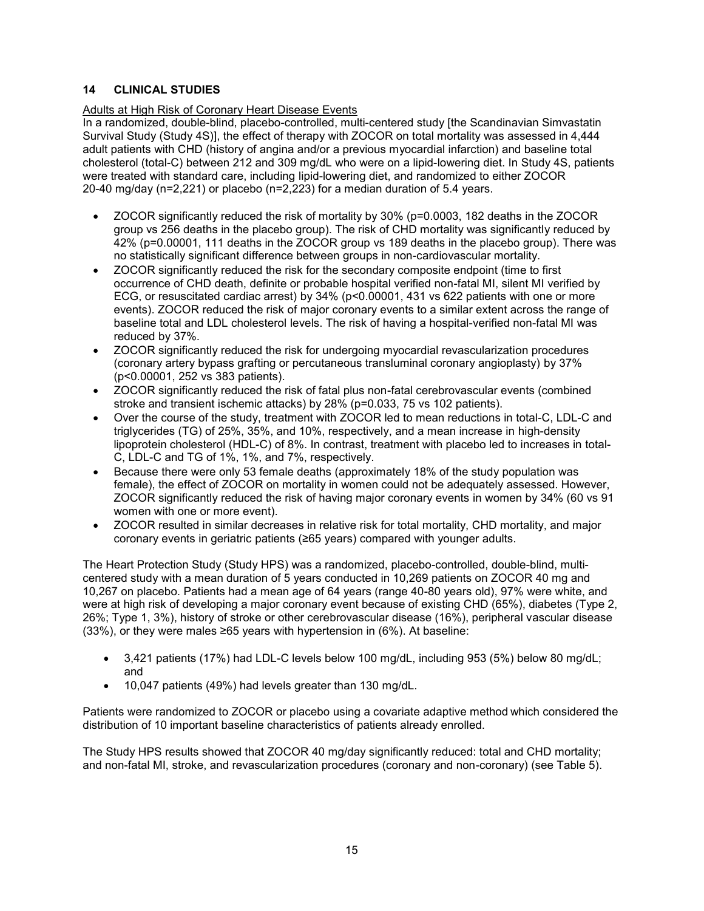# **14 CLINICAL STUDIES**

# Adults at High Risk of Coronary Heart Disease Events

In a randomized, double-blind, placebo-controlled, multi-centered study [the Scandinavian Simvastatin Survival Study (Study 4S)], the effect of therapy with ZOCOR on total mortality was assessed in 4,444 adult patients with CHD (history of angina and/or a previous myocardial infarction) and baseline total cholesterol (total-C) between 212 and 309 mg/dL who were on a lipid-lowering diet. In Study 4S, patients were treated with standard care, including lipid-lowering diet, and randomized to either ZOCOR 20-40 mg/day (n=2,221) or placebo (n=2,223) for a median duration of 5.4 years.

- ZOCOR significantly reduced the risk of mortality by 30% (p=0.0003, 182 deaths in the ZOCOR group vs 256 deaths in the placebo group). The risk of CHD mortality was significantly reduced by 42% (p=0.00001, 111 deaths in the ZOCOR group vs 189 deaths in the placebo group). There was no statistically significant difference between groups in non-cardiovascular mortality.
- ZOCOR significantly reduced the risk for the secondary composite endpoint (time to first occurrence of CHD death, definite or probable hospital verified non-fatal MI, silent MI verified by ECG, or resuscitated cardiac arrest) by 34% (p<0.00001, 431 vs 622 patients with one or more events). ZOCOR reduced the risk of major coronary events to a similar extent across the range of baseline total and LDL cholesterol levels. The risk of having a hospital-verified non-fatal MI was reduced by 37%.
- ZOCOR significantly reduced the risk for undergoing myocardial revascularization procedures (coronary artery bypass grafting or percutaneous transluminal coronary angioplasty) by 37% (p<0.00001, 252 vs 383 patients).
- ZOCOR significantly reduced the risk of fatal plus non-fatal cerebrovascular events (combined stroke and transient ischemic attacks) by 28% (p=0.033, 75 vs 102 patients).
- Over the course of the study, treatment with ZOCOR led to mean reductions in total-C, LDL-C and triglycerides (TG) of 25%, 35%, and 10%, respectively, and a mean increase in high-density lipoprotein cholesterol (HDL-C) of 8%. In contrast, treatment with placebo led to increases in total-C, LDL-C and TG of 1%, 1%, and 7%, respectively.
- Because there were only 53 female deaths (approximately 18% of the study population was female), the effect of ZOCOR on mortality in women could not be adequately assessed. However, ZOCOR significantly reduced the risk of having major coronary events in women by 34% (60 vs 91 women with one or more event).
- ZOCOR resulted in similar decreases in relative risk for total mortality, CHD mortality, and major coronary events in geriatric patients (≥65 years) compared with younger adults.

The Heart Protection Study (Study HPS) was a randomized, placebo-controlled, double-blind, multicentered study with a mean duration of 5 years conducted in 10,269 patients on ZOCOR 40 mg and 10,267 on placebo. Patients had a mean age of 64 years (range 40-80 years old), 97% were white, and were at high risk of developing a major coronary event because of existing CHD (65%), diabetes (Type 2, 26%; Type 1, 3%), history of stroke or other cerebrovascular disease (16%), peripheral vascular disease (33%), or they were males ≥65 years with hypertension in (6%). At baseline:

- 3,421 patients (17%) had LDL-C levels below 100 mg/dL, including 953 (5%) below 80 mg/dL; and
- 10,047 patients (49%) had levels greater than 130 mg/dL.

Patients were randomized to ZOCOR or placebo using a covariate adaptive method which considered the distribution of 10 important baseline characteristics of patients already enrolled.

The Study HPS results showed that ZOCOR 40 mg/day significantly reduced: total and CHD mortality; and non-fatal MI, stroke, and revascularization procedures (coronary and non-coronary) (see Table 5).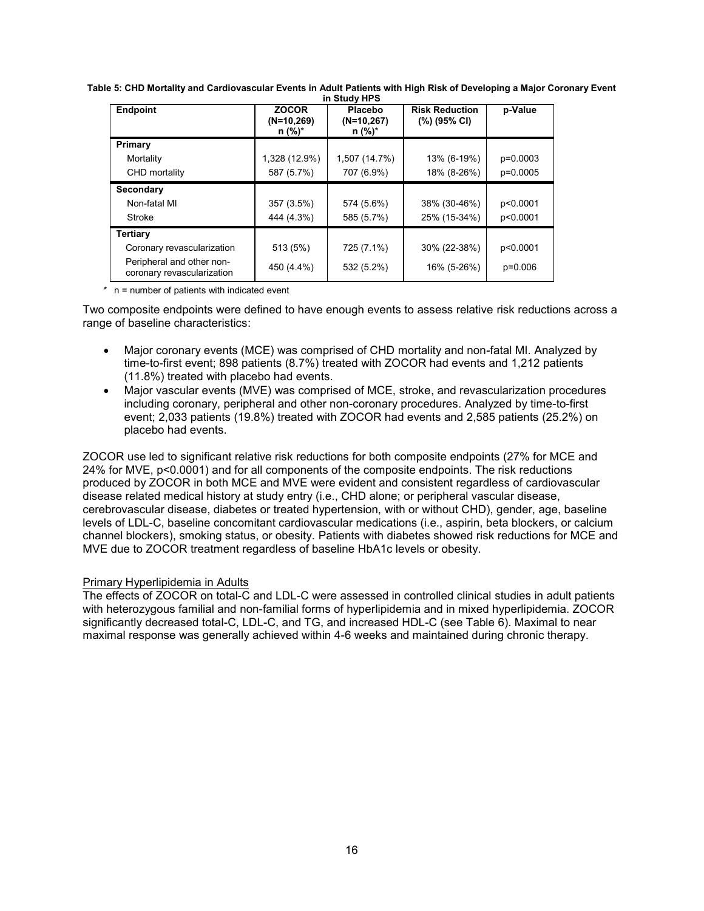| III SLUUV NPS                                           |                                          |                                            |                                       |           |  |
|---------------------------------------------------------|------------------------------------------|--------------------------------------------|---------------------------------------|-----------|--|
| <b>Endpoint</b>                                         | <b>ZOCOR</b><br>$(N=10,269)$<br>$n$ (%)* | <b>Placebo</b><br>$(N=10,267)$<br>$n$ (%)* | <b>Risk Reduction</b><br>(%) (95% CI) | p-Value   |  |
| Primary                                                 |                                          |                                            |                                       |           |  |
| Mortality                                               | 1,328 (12.9%)                            | 1,507 (14.7%)                              | 13% (6-19%)                           | p=0.0003  |  |
| CHD mortality                                           | 587 (5.7%)                               | 707 (6.9%)                                 | 18% (8-26%)                           | p=0.0005  |  |
| Secondary                                               |                                          |                                            |                                       |           |  |
| Non-fatal MI                                            | 357 (3.5%)                               | 574 (5.6%)                                 | 38% (30-46%)                          | p<0.0001  |  |
| Stroke                                                  | 444 (4.3%)                               | 585 (5.7%)                                 | 25% (15-34%)                          | p<0.0001  |  |
| <b>Tertiary</b>                                         |                                          |                                            |                                       |           |  |
| Coronary revascularization                              | 513 (5%)                                 | 725 (7.1%)                                 | 30% (22-38%)                          | p<0.0001  |  |
| Peripheral and other non-<br>coronary revascularization | 450 (4.4%)                               | 532 (5.2%)                                 | 16% (5-26%)                           | $p=0.006$ |  |

**Table 5: CHD Mortality and Cardiovascular Events in Adult Patients with High Risk of Developing a Major Coronary Event in Study HPS**

\* n = number of patients with indicated event

Two composite endpoints were defined to have enough events to assess relative risk reductions across a range of baseline characteristics:

- Major coronary events (MCE) was comprised of CHD mortality and non-fatal MI. Analyzed by time-to-first event; 898 patients (8.7%) treated with ZOCOR had events and 1,212 patients (11.8%) treated with placebo had events.
- Major vascular events (MVE) was comprised of MCE, stroke, and revascularization procedures including coronary, peripheral and other non-coronary procedures. Analyzed by time-to-first event; 2,033 patients (19.8%) treated with ZOCOR had events and 2,585 patients (25.2%) on placebo had events.

ZOCOR use led to significant relative risk reductions for both composite endpoints (27% for MCE and 24% for MVE, p<0.0001) and for all components of the composite endpoints. The risk reductions produced by ZOCOR in both MCE and MVE were evident and consistent regardless of cardiovascular disease related medical history at study entry (i.e., CHD alone; or peripheral vascular disease, cerebrovascular disease, diabetes or treated hypertension, with or without CHD), gender, age, baseline levels of LDL-C, baseline concomitant cardiovascular medications (i.e., aspirin, beta blockers, or calcium channel blockers), smoking status, or obesity. Patients with diabetes showed risk reductions for MCE and MVE due to ZOCOR treatment regardless of baseline HbA1c levels or obesity.

# Primary Hyperlipidemia in Adults

The effects of ZOCOR on total-C and LDL-C were assessed in controlled clinical studies in adult patients with heterozygous familial and non-familial forms of hyperlipidemia and in mixed hyperlipidemia. ZOCOR significantly decreased total-C, LDL-C, and TG, and increased HDL-C (see Table 6). Maximal to near maximal response was generally achieved within 4-6 weeks and maintained during chronic therapy.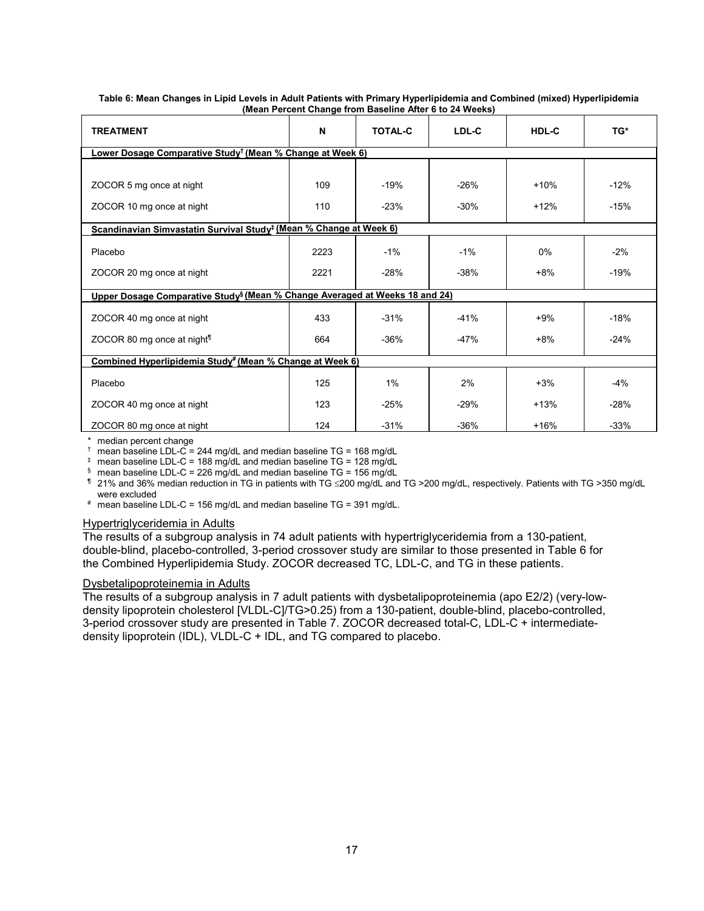| <b>TREATMENT</b>                                                                        | N    | <b>TOTAL-C</b> | LDL-C  | HDL-C  | TG*    |  |  |  |
|-----------------------------------------------------------------------------------------|------|----------------|--------|--------|--------|--|--|--|
| <u> Lower Dosage Comparative Study<sup>†</sup> (Mean % Change at Week 6)</u>            |      |                |        |        |        |  |  |  |
|                                                                                         |      |                |        |        |        |  |  |  |
| ZOCOR 5 mg once at night                                                                | 109  | $-19%$         | $-26%$ | $+10%$ | $-12%$ |  |  |  |
| ZOCOR 10 mg once at night                                                               | 110  | $-23%$         | $-30%$ | $+12%$ | $-15%$ |  |  |  |
| Scandinavian Simvastatin Survival Study <sup>‡</sup> (Mean % Change at Week 6)          |      |                |        |        |        |  |  |  |
| Placebo                                                                                 | 2223 | $-1%$          | $-1%$  | $0\%$  | $-2%$  |  |  |  |
| ZOCOR 20 mg once at night                                                               | 2221 | $-28%$         | $-38%$ | $+8%$  | $-19%$ |  |  |  |
| Upper Dosage Comparative Study <sup>§</sup> (Mean % Change Averaged at Weeks 18 and 24) |      |                |        |        |        |  |  |  |
| ZOCOR 40 mg once at night                                                               | 433  | $-31%$         | $-41%$ | $+9%$  | $-18%$ |  |  |  |
| ZOCOR 80 mg once at night <sup>1</sup>                                                  | 664  | $-36%$         | $-47%$ | $+8%$  | $-24%$ |  |  |  |
| Combined Hyperlipidemia Study <sup>#</sup> (Mean % Change at Week 6)                    |      |                |        |        |        |  |  |  |
| Placebo                                                                                 | 125  | $1\%$          | 2%     | $+3%$  | $-4%$  |  |  |  |
| ZOCOR 40 mg once at night                                                               | 123  | $-25%$         | $-29%$ | $+13%$ | $-28%$ |  |  |  |
| ZOCOR 80 mg once at night                                                               | 124  | $-31%$         | $-36%$ | $+16%$ | $-33%$ |  |  |  |

#### **Table 6: Mean Changes in Lipid Levels in Adult Patients with Primary Hyperlipidemia and Combined (mixed) Hyperlipidemia (Mean Percent Change from Baseline After 6 to 24 Weeks)**

\* median percent change

 $\dagger$  mean baseline LDL-C = 244 mg/dL and median baseline TG = 168 mg/dL

 $\frac{1}{2}$  mean baseline LDL-C = 188 mg/dL and median baseline TG = 128 mg/dL

§ mean baseline LDL-C = 226 mg/dL and median baseline TG = 156 mg/dL

¶ 21% and 36% median reduction in TG in patients with TG 200 mg/dL and TG >200 mg/dL, respectively. Patients with TG >350 mg/dL were excluded

# mean baseline LDL-C = 156 mg/dL and median baseline TG = 391 mg/dL.

# Hypertriglyceridemia in Adults

The results of a subgroup analysis in 74 adult patients with hypertriglyceridemia from a 130-patient, double-blind, placebo-controlled, 3-period crossover study are similar to those presented in Table 6 for the Combined Hyperlipidemia Study. ZOCOR decreased TC, LDL-C, and TG in these patients.

# Dysbetalipoproteinemia in Adults

The results of a subgroup analysis in 7 adult patients with dysbetalipoproteinemia (apo E2/2) (very-lowdensity lipoprotein cholesterol [VLDL-C]/TG>0.25) from a 130-patient, double-blind, placebo-controlled, 3-period crossover study are presented in Table 7. ZOCOR decreased total-C, LDL-C + intermediatedensity lipoprotein (IDL), VLDL-C + IDL, and TG compared to placebo.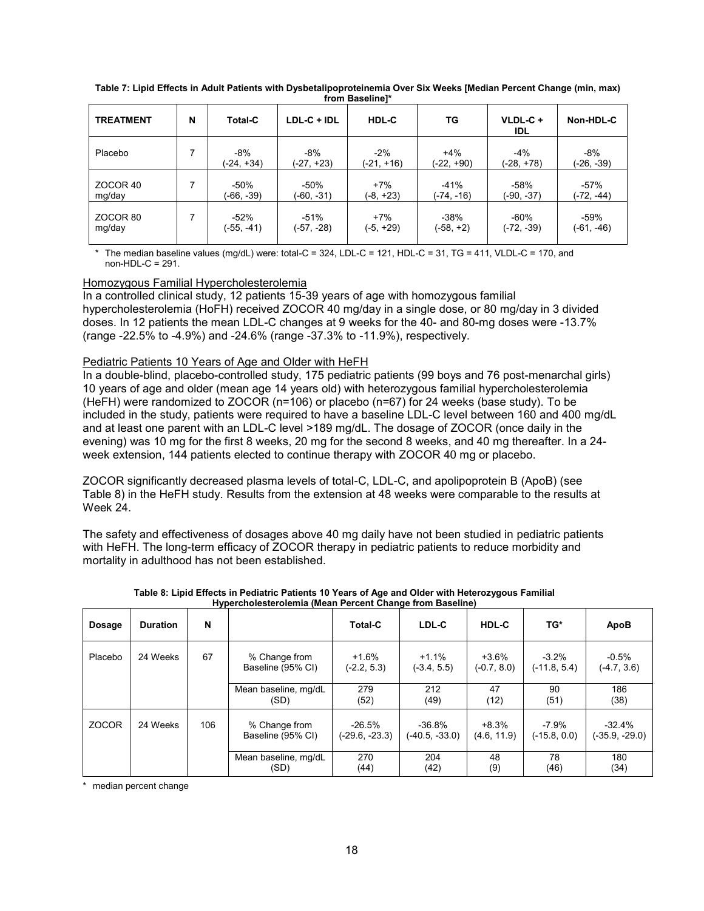| <b>TREATMENT</b> | N | <b>Total-C</b>      | LDL-C + IDL         | HDL-C               | TG                  | VLDL-C+<br><b>IDL</b> | Non-HDL-C           |
|------------------|---|---------------------|---------------------|---------------------|---------------------|-----------------------|---------------------|
| Placebo          |   | $-8%$<br>(-24, +34) | $-8%$<br>(-27, +23) | $-2%$<br>(-21, +16) | $+4%$<br>(-22, +90) | $-4%$<br>(-28, +78)   | $-8%$<br>(-26, -39) |
| ZOCOR 40         |   | $-50%$              | $-50%$              | $+7%$               | $-41%$              | $-58%$                | $-57%$              |
| mg/day           |   | (-66, -39)          | (-60, -31)          | $(-8, +23)$         | (-74, -16)          | (-90, -37)            | (-72, -44)          |
| ZOCOR 80         |   | $-52%$              | $-51%$              | $+7%$               | $-38%$              | $-60%$                | -59%                |
| mg/day           |   | (-55, -41)          | (-57, -28)          | $(-5, +29)$         | (-58, +2)           | (-72, -39)            | (-61, -46)          |

**Table 7: Lipid Effects in Adult Patients with Dysbetalipoproteinemia Over Six Weeks [Median Percent Change (min, max) from Baseline]\***

The median baseline values (mg/dL) were: total-C = 324, LDL-C = 121, HDL-C = 31, TG = 411, VLDL-C = 170, and non-HDL-C = 291.

# Homozygous Familial Hypercholesterolemia

In a controlled clinical study, 12 patients 15-39 years of age with homozygous familial hypercholesterolemia (HoFH) received ZOCOR 40 mg/day in a single dose, or 80 mg/day in 3 divided doses. In 12 patients the mean LDL-C changes at 9 weeks for the 40- and 80-mg doses were -13.7% (range -22.5% to -4.9%) and -24.6% (range -37.3% to -11.9%), respectively.

# Pediatric Patients 10 Years of Age and Older with HeFH

In a double-blind, placebo-controlled study, 175 pediatric patients (99 boys and 76 post-menarchal girls) 10 years of age and older (mean age 14 years old) with heterozygous familial hypercholesterolemia (HeFH) were randomized to ZOCOR (n=106) or placebo (n=67) for 24 weeks (base study). To be included in the study, patients were required to have a baseline LDL-C level between 160 and 400 mg/dL and at least one parent with an LDL-C level >189 mg/dL. The dosage of ZOCOR (once daily in the evening) was 10 mg for the first 8 weeks, 20 mg for the second 8 weeks, and 40 mg thereafter. In a 24 week extension, 144 patients elected to continue therapy with ZOCOR 40 mg or placebo.

ZOCOR significantly decreased plasma levels of total-C, LDL-C, and apolipoprotein B (ApoB) (see Table 8) in the HeFH study. Results from the extension at 48 weeks were comparable to the results at Week 24.

The safety and effectiveness of dosages above 40 mg daily have not been studied in pediatric patients with HeFH. The long-term efficacy of ZOCOR therapy in pediatric patients to reduce morbidity and mortality in adulthood has not been established.

| <b>Dosage</b> | <b>Duration</b> | N   |                                    | <b>Total-C</b>             | LDL-C                        | HDL-C                    | TG*                       | ApoB                        |
|---------------|-----------------|-----|------------------------------------|----------------------------|------------------------------|--------------------------|---------------------------|-----------------------------|
| Placebo       | 24 Weeks        | 67  | % Change from<br>Baseline (95% CI) | $+1.6%$<br>$(-2.2, 5.3)$   | $+1.1%$<br>$(-3.4, 5.5)$     | $+3.6%$<br>$(-0.7, 8.0)$ | $-3.2%$<br>$(-11.8, 5.4)$ | $-0.5%$<br>(-4.7, 3.6)      |
|               |                 |     | Mean baseline, mg/dL<br>(SD)       | 279<br>(52)                | 212<br>(49)                  | 47<br>(12)               | 90<br>(51)                | 186<br>(38)                 |
| <b>ZOCOR</b>  | 24 Weeks        | 106 | % Change from<br>Baseline (95% CI) | -26.5%<br>$(-29.6, -23.3)$ | $-36.8%$<br>$(-40.5, -33.0)$ | $+8.3%$<br>(4.6, 11.9)   | $-7.9%$<br>$(-15.8, 0.0)$ | $-32.4\%$<br>(-35.9, -29.0) |
|               |                 |     | Mean baseline, mg/dL<br>(SD)       | 270<br>(44)                | 204<br>(42)                  | 48<br>(9)                | 78<br>(46)                | 180<br>(34)                 |

**Table 8: Lipid Effects in Pediatric Patients 10 Years of Age and Older with Heterozygous Familial Hypercholesterolemia (Mean Percent Change from Baseline)**

\* median percent change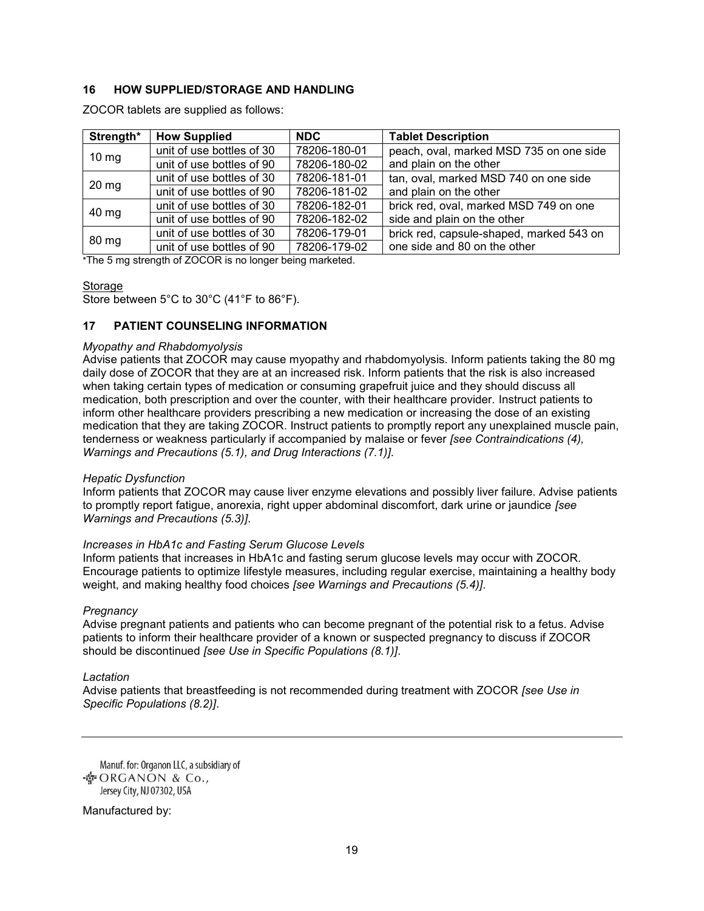# **16 HOW SUPPLIED/STORAGE AND HANDLING**

| Strength*       | <b>How Supplied</b>         | <b>NDC</b>          | <b>Tablet Description</b> |
|-----------------|-----------------------------|---------------------|---------------------------|
|                 | unit of use bottles of 30   | 78206-180-01        | peach, oval, marked       |
| $10 \text{ mg}$ | unit of use hottles of $00$ | <b>70000 100 00</b> | and plain on the oth      |

ZOCOR tablets are supplied as follows:

| $10 \text{ mg}$                                                                                                                                                    | unit of use bottles of 30 | 78206-180-01 | peach, oval, marked MSD 735 on one side  |  |  |  |
|--------------------------------------------------------------------------------------------------------------------------------------------------------------------|---------------------------|--------------|------------------------------------------|--|--|--|
|                                                                                                                                                                    | unit of use bottles of 90 | 78206-180-02 | and plain on the other                   |  |  |  |
| $20 \text{ mg}$                                                                                                                                                    | unit of use bottles of 30 | 78206-181-01 | tan, oval, marked MSD 740 on one side    |  |  |  |
|                                                                                                                                                                    | unit of use bottles of 90 | 78206-181-02 | and plain on the other                   |  |  |  |
| 40 mg                                                                                                                                                              | unit of use bottles of 30 | 78206-182-01 | brick red, oval, marked MSD 749 on one   |  |  |  |
|                                                                                                                                                                    | unit of use bottles of 90 | 78206-182-02 | side and plain on the other              |  |  |  |
| 80 mg                                                                                                                                                              | unit of use bottles of 30 | 78206-179-01 | brick red, capsule-shaped, marked 543 on |  |  |  |
|                                                                                                                                                                    | unit of use bottles of 90 | 78206-179-02 | one side and 80 on the other             |  |  |  |
| $\mathbf{r}$ , $\mathbf{r}$ , $\mathbf{r}$ , $\mathbf{r}$ , $\mathbf{r}$ , $\mathbf{r}$ , $\mathbf{r}$ , $\mathbf{r}$ , $\mathbf{r}$ , $\mathbf{r}$ , $\mathbf{r}$ |                           |              |                                          |  |  |  |

\*The 5 mg strength of ZOCOR is no longer being marketed.

# **Storage**

Store between 5°C to 30°C (41°F to 86°F).

# **17 PATIENT COUNSELING INFORMATION**

### *Myopathy and Rhabdomyolysis*

Advise patients that ZOCOR may cause myopathy and rhabdomyolysis. Inform patients taking the 80 mg daily dose of ZOCOR that they are at an increased risk. Inform patients that the risk is also increased when taking certain types of medication or consuming grapefruit juice and they should discuss all medication, both prescription and over the counter, with their healthcare provider. Instruct patients to inform other healthcare providers prescribing a new medication or increasing the dose of an existing medication that they are taking ZOCOR. Instruct patients to promptly report any unexplained muscle pain, tenderness or weakness particularly if accompanied by malaise or fever *[see Contraindications (4), Warnings and Precautions (5.1), and Drug Interactions (7.1)]*.

# *Hepatic Dysfunction*

Inform patients that ZOCOR may cause liver enzyme elevations and possibly liver failure. Advise patients to promptly report fatigue, anorexia, right upper abdominal discomfort, dark urine or jaundice *[see Warnings and Precautions (5.3)]*.

# *Increases in HbA1c and Fasting Serum Glucose Levels*

Inform patients that increases in HbA1c and fasting serum glucose levels may occur with ZOCOR. Encourage patients to optimize lifestyle measures, including regular exercise, maintaining a healthy body weight, and making healthy food choices *[see Warnings and Precautions (5.4)]*.

# *Pregnancy*

Advise pregnant patients and patients who can become pregnant of the potential risk to a fetus. Advise patients to inform their healthcare provider of a known or suspected pregnancy to discuss if ZOCOR should be discontinued *[see Use in Specific Populations (8.1)]*.

# *Lactation*

Advise patients that breastfeeding is not recommended during treatment with ZOCOR *[see Use in Specific Populations (8.2)]*.

Manuf. for: Organon LLC, a subsidiary of · ORGANON & Co., Jersey City, NJ 07302, USA

Manufactured by: